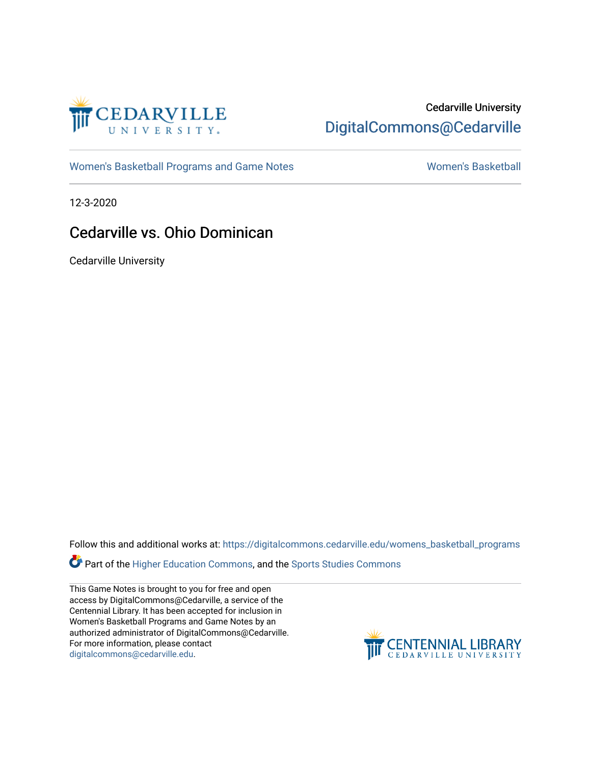

# Cedarville University [DigitalCommons@Cedarville](https://digitalcommons.cedarville.edu/)

[Women's Basketball Programs and Game Notes](https://digitalcommons.cedarville.edu/womens_basketball_programs) [Women's Basketball](https://digitalcommons.cedarville.edu/womens_basketball) Nomen's Basketball

12-3-2020

# Cedarville vs. Ohio Dominican

Cedarville University

Follow this and additional works at: [https://digitalcommons.cedarville.edu/womens\\_basketball\\_programs](https://digitalcommons.cedarville.edu/womens_basketball_programs?utm_source=digitalcommons.cedarville.edu%2Fwomens_basketball_programs%2F406&utm_medium=PDF&utm_campaign=PDFCoverPages)

Part of the [Higher Education Commons,](http://network.bepress.com/hgg/discipline/1245?utm_source=digitalcommons.cedarville.edu%2Fwomens_basketball_programs%2F406&utm_medium=PDF&utm_campaign=PDFCoverPages) and the Sports Studies Commons

This Game Notes is brought to you for free and open access by DigitalCommons@Cedarville, a service of the Centennial Library. It has been accepted for inclusion in Women's Basketball Programs and Game Notes by an authorized administrator of DigitalCommons@Cedarville. For more information, please contact [digitalcommons@cedarville.edu](mailto:digitalcommons@cedarville.edu).

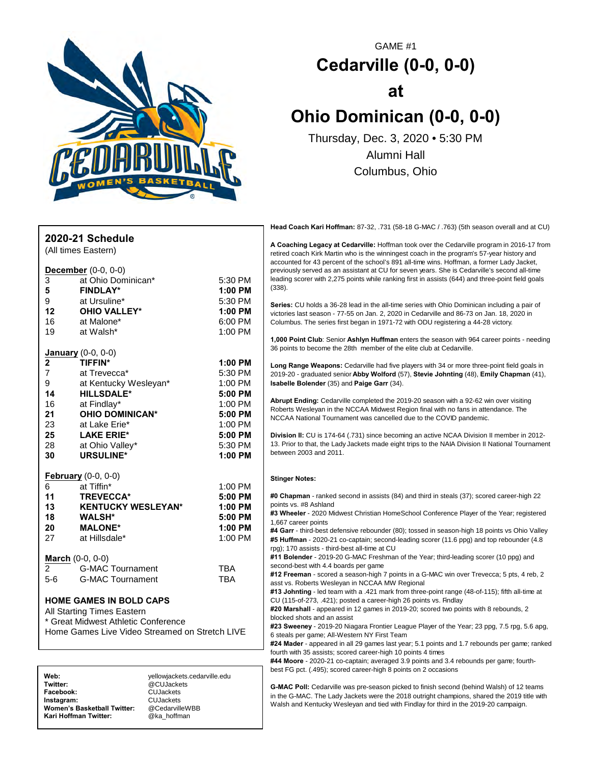

**Facebook:** CUJackets

**Instagram:** CUJackets<br>Women's Basketball Twitter: @CedarvilleWBB **Women's Basketball Twitter:** @CedarvilleW<br>**Kari Hoffman Twitter:** @ka hoffman

**Kari Hoffman Twitter:** 

# GAME #1 **Cedarville (0-0, 0-0) at Ohio Dominican (0-0, 0-0)** Thursday, Dec. 3, 2020 • 5:30 PM

Alumni Hall Columbus, Ohio

|                |                                                |            | Head Coach Kari Hoffman: 87-32, 731 (58-18 G-MAC / .763) (5th season overall and at CU)                                                                                                                                                                                                                                                                                                                                                                                                               |
|----------------|------------------------------------------------|------------|-------------------------------------------------------------------------------------------------------------------------------------------------------------------------------------------------------------------------------------------------------------------------------------------------------------------------------------------------------------------------------------------------------------------------------------------------------------------------------------------------------|
|                | 2020-21 Schedule                               |            |                                                                                                                                                                                                                                                                                                                                                                                                                                                                                                       |
|                | (All times Eastern)                            |            | A Coaching Legacy at Cedarville: Hoffman took over the Cedarville program in 2016-17 from<br>retired coach Kirk Martin who is the winningest coach in the program's 57-year history and                                                                                                                                                                                                                                                                                                               |
|                |                                                |            | accounted for 43 percent of the school's 891 all-time wins. Hoffman, a former Lady Jacket,                                                                                                                                                                                                                                                                                                                                                                                                            |
|                | <b>December</b> $(0-0, 0-0)$                   |            | previously served as an assistant at CU for seven years. She is Cedarville's second all-time<br>leading scorer with 2,275 points while ranking first in assists (644) and three-point field goals                                                                                                                                                                                                                                                                                                     |
| 3              | at Ohio Dominican*                             | 5:30 PM    | (338).                                                                                                                                                                                                                                                                                                                                                                                                                                                                                                |
| 5              | <b>FINDLAY*</b>                                | $1:00$ PM  |                                                                                                                                                                                                                                                                                                                                                                                                                                                                                                       |
| 9              | at Ursuline*                                   | 5:30 PM    | Series: CU holds a 36-28 lead in the all-time series with Ohio Dominican including a pair of                                                                                                                                                                                                                                                                                                                                                                                                          |
| 12             | <b>OHIO VALLEY*</b>                            | 1:00 PM    | victories last season - 77-55 on Jan. 2, 2020 in Cedarville and 86-73 on Jan. 18, 2020 in                                                                                                                                                                                                                                                                                                                                                                                                             |
| 16             | at Malone*                                     | 6:00 PM    | Columbus. The series first began in 1971-72 with ODU registering a 44-28 victory.                                                                                                                                                                                                                                                                                                                                                                                                                     |
| 19             | at Walsh*                                      | 1:00 PM    |                                                                                                                                                                                                                                                                                                                                                                                                                                                                                                       |
|                |                                                |            | 1,000 Point Club: Senior Ashlyn Huffman enters the season with 964 career points - needing<br>36 points to become the 28th member of the elite club at Cedarville.                                                                                                                                                                                                                                                                                                                                    |
|                | <b>January</b> (0-0, 0-0)                      |            |                                                                                                                                                                                                                                                                                                                                                                                                                                                                                                       |
| 2              | <b>TIFFIN*</b>                                 | 1:00 PM    | Long Range Weapons: Cedarville had five players with 34 or more three-point field goals in                                                                                                                                                                                                                                                                                                                                                                                                            |
| $\overline{7}$ | at Trevecca*                                   | 5:30 PM    | 2019-20 - graduated senior Abby Wolford (57), Stevie Johnting (48), Emily Chapman (41),                                                                                                                                                                                                                                                                                                                                                                                                               |
| 9              | at Kentucky Wesleyan*                          | 1:00 PM    | Isabelle Bolender (35) and Paige Garr (34).                                                                                                                                                                                                                                                                                                                                                                                                                                                           |
| 14             | <b>HILLSDALE*</b>                              | 5:00 PM    |                                                                                                                                                                                                                                                                                                                                                                                                                                                                                                       |
| 16             | at Findlay*                                    | 1:00 PM    | Abrupt Ending: Cedarville completed the 2019-20 season with a 92-62 win over visiting<br>Roberts Wesleyan in the NCCAA Midwest Region final with no fans in attendance. The                                                                                                                                                                                                                                                                                                                           |
| 21             | <b>OHIO DOMINICAN*</b>                         | 5:00 PM    | NCCAA National Tournament was cancelled due to the COVID pandemic.                                                                                                                                                                                                                                                                                                                                                                                                                                    |
| 23             | at Lake Erie*                                  | 1:00 PM    |                                                                                                                                                                                                                                                                                                                                                                                                                                                                                                       |
| 25             | <b>LAKE ERIE*</b>                              | 5:00 PM    | Division II: CU is 174-64 (.731) since becoming an active NCAA Division II member in 2012-                                                                                                                                                                                                                                                                                                                                                                                                            |
| 28             | at Ohio Valley*                                | 5:30 PM    | 13. Prior to that, the Lady Jackets made eight trips to the NAIA Division II National Tournament                                                                                                                                                                                                                                                                                                                                                                                                      |
| 30             | <b>URSULINE*</b>                               | 1:00 PM    | between 2003 and 2011.                                                                                                                                                                                                                                                                                                                                                                                                                                                                                |
|                | <b>February</b> (0-0, 0-0)                     |            |                                                                                                                                                                                                                                                                                                                                                                                                                                                                                                       |
| 6              | at Tiffin*                                     | 1:00 PM    | <b>Stinger Notes:</b>                                                                                                                                                                                                                                                                                                                                                                                                                                                                                 |
| 11             | <b>TREVECCA*</b>                               | 5:00 PM    | #0 Chapman - ranked second in assists (84) and third in steals (37); scored career-high 22                                                                                                                                                                                                                                                                                                                                                                                                            |
| 13             | <b>KENTUCKY WESLEYAN*</b>                      | 1:00 PM    | points vs. #8 Ashland                                                                                                                                                                                                                                                                                                                                                                                                                                                                                 |
| 18             | <b>WALSH*</b>                                  | 5:00 PM    | #3 Wheeler - 2020 Midwest Christian HomeSchool Conference Player of the Year; registered                                                                                                                                                                                                                                                                                                                                                                                                              |
| 20             | <b>MALONE*</b>                                 | 1:00 PM    | 1,667 career points                                                                                                                                                                                                                                                                                                                                                                                                                                                                                   |
| 27             | at Hillsdale*                                  | 1:00 PM    | #4 Garr - third-best defensive rebounder (80); tossed in season-high 18 points vs Ohio Valley                                                                                                                                                                                                                                                                                                                                                                                                         |
|                |                                                |            | #5 Huffman - 2020-21 co-captain; second-leading scorer (11.6 ppg) and top rebounder (4.8<br>rpg); 170 assists - third-best all-time at CU                                                                                                                                                                                                                                                                                                                                                             |
|                |                                                |            | #11 Bolender - 2019-20 G-MAC Freshman of the Year; third-leading scorer (10 ppg) and                                                                                                                                                                                                                                                                                                                                                                                                                  |
| $\overline{2}$ | <b>March</b> $(0-0, 0-0)$                      |            | second-best with 4.4 boards per game                                                                                                                                                                                                                                                                                                                                                                                                                                                                  |
|                | <b>G-MAC Tournament</b>                        | <b>TBA</b> | #12 Freeman - scored a season-high 7 points in a G-MAC win over Trevecca; 5 pts, 4 reb, 2                                                                                                                                                                                                                                                                                                                                                                                                             |
| $5-6$          | <b>G-MAC Tournament</b>                        | <b>TBA</b> | asst vs. Roberts Wesleyan in NCCAA MW Regional                                                                                                                                                                                                                                                                                                                                                                                                                                                        |
|                |                                                |            | #13 Johnting - led team with a .421 mark from three-point range (48-of-115); fifth all-time at                                                                                                                                                                                                                                                                                                                                                                                                        |
|                | <b>HOME GAMES IN BOLD CAPS</b>                 |            | CU (115-of-273, .421); posted a career-high 26 points vs. Findlay                                                                                                                                                                                                                                                                                                                                                                                                                                     |
|                | All Starting Times Eastern                     |            | #20 Marshall - appeared in 12 games in 2019-20; scored two points with 8 rebounds, 2<br>blocked shots and an assist                                                                                                                                                                                                                                                                                                                                                                                   |
|                | * Great Midwest Athletic Conference            |            | #23 Sweeney - 2019-20 Niagara Frontier League Player of the Year; 23 ppg, 7.5 rpg, 5.6 apg,                                                                                                                                                                                                                                                                                                                                                                                                           |
|                | Home Games Live Video Streamed on Stretch LIVE |            | 6 steals per game; All-Western NY First Team                                                                                                                                                                                                                                                                                                                                                                                                                                                          |
|                |                                                |            | #24 Mader - appeared in all 29 games last year; 5.1 points and 1.7 rebounds per game; ranked                                                                                                                                                                                                                                                                                                                                                                                                          |
|                |                                                |            | fourth with 35 assists; scored career-high 10 points 4 times                                                                                                                                                                                                                                                                                                                                                                                                                                          |
|                |                                                |            | #44 Moore - 2020-21 co-captain; averaged 3.9 points and 3.4 rebounds per game; fourth-                                                                                                                                                                                                                                                                                                                                                                                                                |
| Web:           | yellowjackets.cedarville.edu                   |            | best FG pct. (.495); scored career-high 8 points on 2 occasions                                                                                                                                                                                                                                                                                                                                                                                                                                       |
| Twitter:       | @CUJackets                                     |            | G-MAC Poll: Cedarville was pre-season picked to finish second (behind Walsh) of 12 teams                                                                                                                                                                                                                                                                                                                                                                                                              |
| Facebook:      | <b>CUJackets</b>                               |            | $H_{\text{tot}}$ $\Omega$ $\overline{\Omega}$ $\overline{\Omega}$ $\overline{\Omega}$ $\overline{\Omega}$ $\overline{\Omega}$ $\overline{\Omega}$ $\overline{\Omega}$ $\overline{\Omega}$ $\overline{\Omega}$ $\overline{\Omega}$ $\overline{\Omega}$ $\overline{\Omega}$ $\overline{\Omega}$ $\overline{\Omega}$ $\overline{\Omega}$ $\overline{\Omega}$ $\overline{\Omega}$ $\overline{\Omega}$ $\overline{\Omega}$ $\overline{\Omega}$ $\overline{\Omega}$ $\overline{\Omega}$ $\overline{\Omega}$ |

**G-MAC Poll:** Cedarville was pre-season picked to finish second (behind Walsh) of 12 teams in the G-MAC. The Lady Jackets were the 2018 outright champions, shared the 2019 title with Walsh and Kentucky Wesleyan and tied with Findlay for third in the 2019-20 campaign.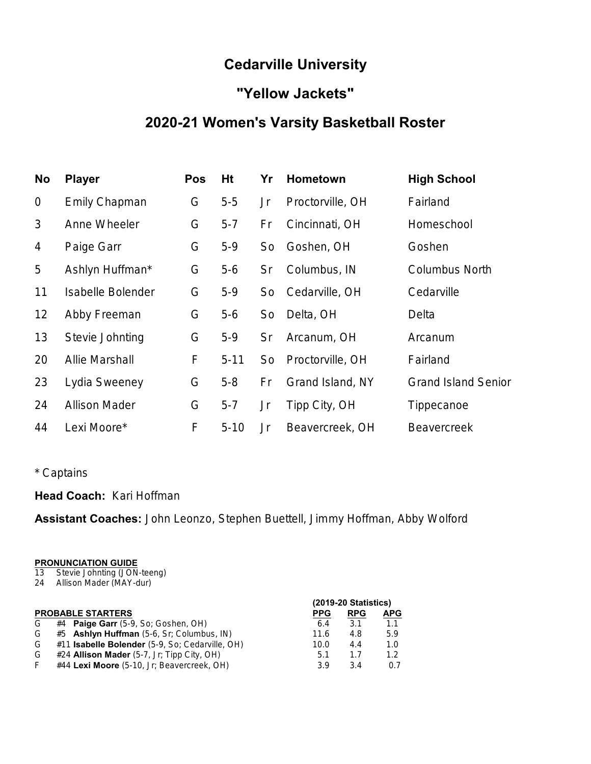# **Cedarville University**

# **"Yellow Jackets"**

# **2020-21 Women's Varsity Basketball Roster**

| No             | <b>Player</b>         | <b>Pos</b> | Ht       | Yr | <b>Hometown</b>  | <b>High School</b>         |
|----------------|-----------------------|------------|----------|----|------------------|----------------------------|
| $\mathbf 0$    | <b>Emily Chapman</b>  | G          | $5-5$    | Jr | Proctorville, OH | Fairland                   |
| 3              | Anne Wheeler          | G          | $5 - 7$  | Fr | Cincinnati, OH   | Homeschool                 |
| $\overline{4}$ | Paige Garr            | G          | $5-9$    | So | Goshen, OH       | Goshen                     |
| 5              | Ashlyn Huffman*       | G          | $5-6$    | Sr | Columbus, IN     | <b>Columbus North</b>      |
| 11             | Isabelle Bolender     | G          | $5-9$    | So | Cedarville, OH   | Cedarville                 |
| 12             | Abby Freeman          | G          | $5-6$    | So | Delta, OH        | Delta                      |
| 13             | Stevie Johnting       | G          | $5-9$    | Sr | Arcanum, OH      | Arcanum                    |
| 20             | <b>Allie Marshall</b> | F          | $5 - 11$ | So | Proctorville, OH | Fairland                   |
| 23             | Lydia Sweeney         | G          | $5 - 8$  | Fr | Grand Island, NY | <b>Grand Island Senior</b> |
| 24             | <b>Allison Mader</b>  | G          | $5 - 7$  | Jr | Tipp City, OH    | Tippecanoe                 |
| 44             | Lexi Moore*           | F          | $5 - 10$ | Jr | Beavercreek, OH  | <b>Beavercreek</b>         |

# \* Captains

# **Head Coach:** Kari Hoffman

**Assistant Coaches:** John Leonzo, Stephen Buettell, Jimmy Hoffman, Abby Wolford

#### **PRONUNCIATION GUIDE**

- 13 Stevie Johnting (JON-teeng)
- 24 Allison Mader (MAY-dur)

|    |                                                 | (2019-20 Statistics) |            |            |  |  |  |  |
|----|-------------------------------------------------|----------------------|------------|------------|--|--|--|--|
|    | <b>PROBABLE STARTERS</b>                        | <b>PPG</b>           | <b>RPG</b> | <b>APG</b> |  |  |  |  |
| G  | #4 Paige Garr (5-9, So; Goshen, OH)             | 6.4                  | 3.1        | 1.1        |  |  |  |  |
| G  | #5 Ashlyn Huffman (5-6, Sr; Columbus, IN)       | 11.6                 | 4.8        | 5.9        |  |  |  |  |
| G  | #11 Isabelle Bolender (5-9, So; Cedarville, OH) | 10.0                 | 4.4        | 1.0        |  |  |  |  |
| G  | #24 Allison Mader (5-7, Jr; Tipp City, OH)      | 5.1                  | 1.7        | 1.2        |  |  |  |  |
| F. | #44 Lexi Moore (5-10, Jr; Beavercreek, OH)      | 3.9                  | 34         | 0.7        |  |  |  |  |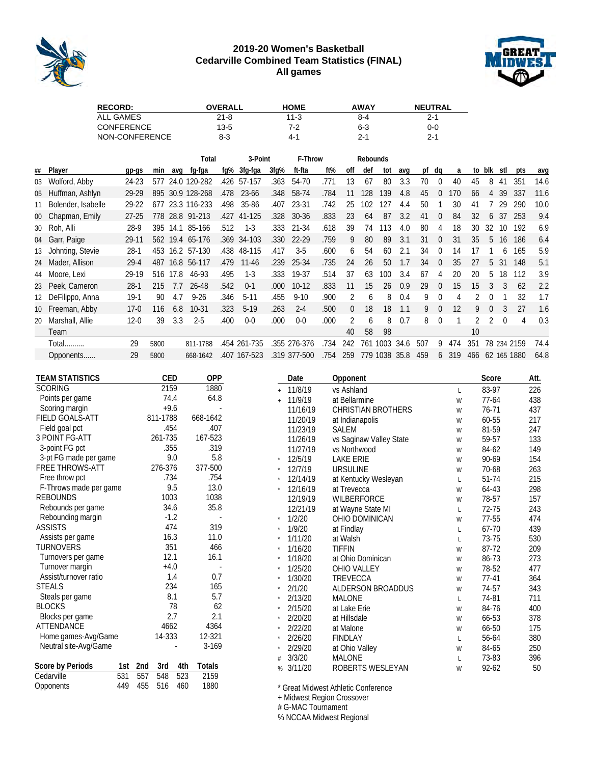

### **2019-20 Women's Basketball Cedarville Combined Team Statistics (FINAL) All games**



| <b>RECORD:</b>    | <b>OVERALL</b> | <b>HOME</b> | <b>AWAY</b> | <b>NEUTRAL</b> |
|-------------------|----------------|-------------|-------------|----------------|
| ALL GAMES         | 21-8           | $11-3$      | 8-4         | 2-1            |
| <b>CONFERENCE</b> | $13-5$         | 7-2         | 6-3         | 0-0            |
| NON-CONFERENCE    | 8-3            | $4 - 1$     | $2 - 1$     | $2 - 1$        |

|        |                    |           |      |      | Total            |      | 3-Point     |      | F-Throw      |      |     | Rebounds |      |      |     |          |     |     |              |     |          |      |
|--------|--------------------|-----------|------|------|------------------|------|-------------|------|--------------|------|-----|----------|------|------|-----|----------|-----|-----|--------------|-----|----------|------|
| ##     | Player             | gp-gs     | min  | ava  | fg-fga           | fq%  | 3fg-fga     | 3fq% | ft-fta       | ft%  | off | def      | tot  | avg  |     | pf dg    | a   |     | to blk stl   |     | pts      | avg  |
| 03     | Wolford, Abby      | 24-23     | 577  |      | 24.0 120-282     | .426 | 57-157      | .363 | 54-70        | .771 | 13  | 67       | 80   | 3.3  | 70  | $\theta$ | 40  | 45  | 8            | 41  | 351      | 14.6 |
| 05     | Huffman, Ashlyn    | 29-29     |      |      | 895 30.9 128-268 | .478 | 23-66       | .348 | 58-74        | .784 | 11  | 128      | 139  | 4.8  | 45  |          | 70  | 66  |              | 39  | 337      | 11.6 |
| 11     | Bolender, Isabelle | 29-22     | 677  |      | 23.3 116-233     | .498 | 35-86       | .407 | 23-31        | .742 | 25  | 102      | 127  | 4.4  | 50  |          | 30  | 41  |              | 29  | 290      | 10.0 |
| $00\,$ | Chapman, Emily     | $27 - 25$ |      |      | 778 28.8 91-213  | .427 | 41-125      | .328 | $30 - 36$    | .833 | 23  | 64       | 87   | 3.2  | 41  | $\Omega$ | 84  | 32  | <sub>6</sub> | 37  | 253      | 9.4  |
|        | 30 Roh, Alli       | 28-9      | 395  | 14.1 | 85-166           | .512 | $1-3$       | .333 | 21-34        | .618 | 39  | 74       | 13   | 4.0  | 80  | 4        | 18  | 30  | 32           | 10  | 192      | 6.9  |
| 04     | Garr, Paige        | 29-11     |      |      | 562 19.4 65-176  |      | .369 34-103 | .330 | $22 - 29$    | .759 | 9   | 80       | 89   | 3.1  | 31  | $\Omega$ | 31  | 35  | 5            | 16  | 186      | 6.4  |
| 13     | Johnting, Stevie   | $28-1$    | 453  |      | 16.2 57-130      |      | .438 48-115 | .417 | $3-5$        | .600 | 6   | 54       | 60   | 2.1  | 34  | $\theta$ | 14  | 17  |              | 6   | 165      | 5.9  |
| 24     | Mader, Allison     | $29 - 4$  | 487  | 16.8 | 56-117           | .479 | $11 - 46$   | .239 | 25-34        | .735 | 24  | 26       | 50   | 1.7  | 34  | $\Omega$ | 35  | 27  | 5            | 31  | 148      | 5.1  |
| 44     | Moore, Lexi        | 29-19     | 516  | 17.8 | 46-93            | .495 | $1-3$       | .333 | 19-37        | .514 | 37  | 63       | 100  | 3.4  | 67  | 4        | 20  | 20  | 5            | 18  | 112      | 3.9  |
| 23     | Peek, Cameron      | $28-1$    | 215  | 7.7  | 26-48            | .542 | $0-1$       | .000 | $10-12$      | .833 | 11  | 15       | 26   | 0.9  | 29  | $\Omega$ | 15  | 15  | 3            | 3   | 62       | 2.2  |
| 12     | DeFilippo, Anna    | $19-1$    | 90   | 4.7  | $9 - 26$         | .346 | $5-11$      | .455 | $9 - 10$     | .900 | 2   | 6        | 8    | 0.4  | 9   | $\Omega$ | 4   |     | U            |     | 32       | 1.7  |
| 10     | Freeman, Abby      | $17-0$    | 116  | 6.8  | 10-31            | .323 | $5-19$      | .263 | $2 - 4$      | 500  | 0   | 18       | 18   | 1.1  | 9   | $\Omega$ | 12  | 9   | 0            | 3   | 27       | 1.6  |
| 20     | Marshall, Allie    | $12 - 0$  | 39   | 3.3  | $2 - 5$          | .400 | $0-0$       | .000 | $0-0$        | .000 | 2   | h        | 8    | 0.7  | 8   | $\Omega$ |     | 2   | 2            | U   | 4        | 0.3  |
|        | Team               |           |      |      |                  |      |             |      |              |      | 40  | 58       | 98   |      |     |          |     | 10  |              |     |          |      |
|        | Total              | 29        | 5800 |      | 811-1788         | .454 | 261-735     | .355 | 276-376      | 734  | 242 | 761      | 1003 | 34.6 | 507 | 9        | 474 | 351 | 78           | 234 | 2159     | 74.4 |
|        | Opponents          | 29        | 5800 |      | 668-1642         | .407 | 167-523     |      | .319 377-500 | 754  | 259 | 779      | 1038 | 35.8 | 459 | 6        | 319 | 466 | 62           |     | 165 1880 | 64.8 |

| <b>TEAM STATISTICS</b>  | <b>CED</b>        | OPP       |          | Date     | Opponent                            |   | Score   | Att. |
|-------------------------|-------------------|-----------|----------|----------|-------------------------------------|---|---------|------|
| <b>SCORING</b>          | 2159              | 1880      |          | 11/8/19  | vs Ashland                          | L | 83-97   | 226  |
| Points per game         | 74.4              | 64.8      |          | 11/9/19  | at Bellarmine                       | W | $77-64$ | 438  |
| Scoring margin          | $+9.6$            |           |          | 11/16/19 | <b>CHRISTIAN BROTHERS</b>           | W | 76-71   | 437  |
| <b>FIELD GOALS-ATT</b>  | 811-1788          | 668-1642  |          | 11/20/19 | at Indianapolis                     | W | 60-55   | 217  |
| Field goal pct          | .454              | .407      |          | 11/23/19 | <b>SALEM</b>                        | W | 81-59   | 247  |
| 3 POINT FG-ATT          | 261-735           | 167-523   |          | 11/26/19 | vs Saginaw Valley State             | W | 59-57   | 133  |
| 3-point FG pct          | .355              | .319      |          | 11/27/19 | vs Northwood                        | W | 84-62   | 149  |
| 3-pt FG made per game   | 9.0               | 5.8       |          | 12/5/19  | <b>LAKE ERIE</b>                    | W | 90-69   | 154  |
| FREE THROWS-ATT         | 276-376           | 377-500   |          | 12/7/19  | <b>URSULINE</b>                     | W | 70-68   | 263  |
| Free throw pct          | .734              | .754      |          | 12/14/19 | at Kentucky Wesleyan                | L | 51-74   | 215  |
| F-Throws made per game  | 9.5               | 13.0      | $^\star$ | 12/16/19 | at Trevecca                         | W | 64-43   | 298  |
| <b>REBOUNDS</b>         | 1003              | 1038      |          | 12/19/19 | <b>WILBERFORCE</b>                  | W | 78-57   | 157  |
| Rebounds per game       | 34.6              | 35.8      |          | 12/21/19 | at Wayne State MI                   | L | 72-75   | 243  |
| Rebounding margin       | $-1.2$            |           |          | 1/2/20   | OHIO DOMINICAN                      | W | 77-55   | 474  |
| <b>ASSISTS</b>          | 474               | 319       |          | 1/9/20   | at Findlay                          | L | 67-70   | 439  |
| Assists per game        | 16.3              | 11.0      |          | 1/11/20  | at Walsh                            | L | 73-75   | 530  |
| <b>TURNOVERS</b>        | 351               | 466       |          | 1/16/20  | <b>TIFFIN</b>                       | W | 87-72   | 209  |
| Turnovers per game      | 12.1              | 16.1      |          | 1/18/20  | at Ohio Dominican                   | W | 86-73   | 273  |
| Turnover margin         | $+4.0$            |           |          | 1/25/20  | <b>OHIO VALLEY</b>                  | W | 78-52   | 477  |
| Assist/turnover ratio   | 1.4               | 0.7       |          | 1/30/20  | <b>TREVECCA</b>                     | W | $77-41$ | 364  |
| <b>STEALS</b>           | 234               | 165       |          | 2/1/20   | ALDERSON BROADDUS                   | W | 74-57   | 343  |
| Steals per game         | 8.1               | 5.7       |          | 2/13/20  | <b>MALONE</b>                       | L | 74-81   | 711  |
| <b>BLOCKS</b>           | 78                | 62        |          | 2/15/20  | at Lake Erie                        | W | 84-76   | 400  |
| Blocks per game         | 2.7               | 2.1       |          | 2/20/20  | at Hillsdale                        | W | 66-53   | 378  |
| ATTENDANCE              | 4662              | 4364      |          | 2/22/20  | at Malone                           | W | 66-50   | 175  |
| Home games-Avg/Game     | 14-333            | 12-321    |          | 2/26/20  | <b>FINDLAY</b>                      | L | 56-64   | 380  |
| Neutral site-Avg/Game   |                   | $3 - 169$ |          | 2/29/20  | at Ohio Valley                      | W | 84-65   | 250  |
|                         |                   |           |          | 3/3/20   | <b>MALONE</b>                       | L | 73-83   | 396  |
| Score by Periods<br>1st | 2nd<br>3rd<br>4th | Totals    | %        | 3/11/20  | ROBERTS WESLEYAN                    | W | 92-62   | 50   |
| 531<br>Cedarville       | 523<br>557<br>548 | 2159      |          |          |                                     |   |         |      |
| 449<br>Opponents        | 455<br>516<br>460 | 1880      |          |          | * Great Midwest Athletic Conference |   |         |      |

Great Midwest Athletic Conference

+ Midwest Region Crossover

# G-MAC Tournament

% NCCAA Midwest Regional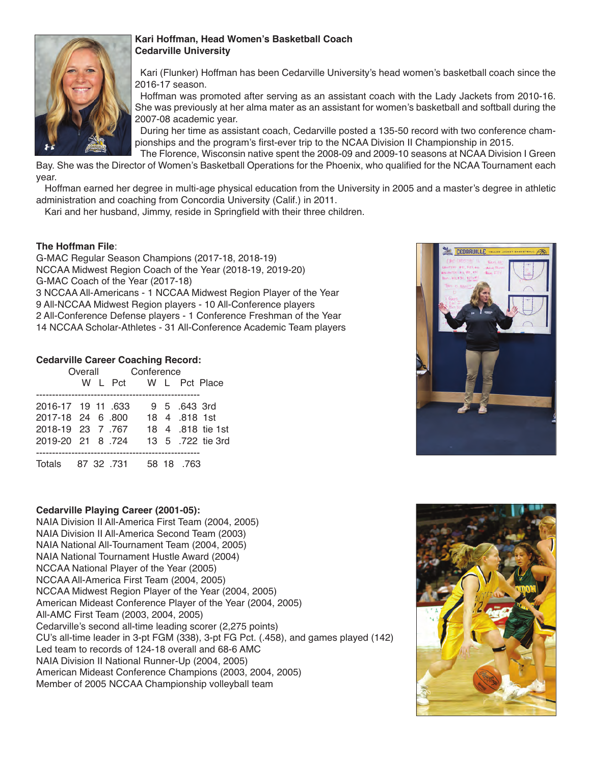

# **Kari Hoffman, Head Women's Basketball Coach Cedarville University**

Kari (Flunker) Hoffman has been Cedarville University's head women's basketball coach since the 2016-17 season.

Hoffman was promoted after serving as an assistant coach with the Lady Jackets from 2010-16. She was previously at her alma mater as an assistant for women's basketball and softball during the 2007-08 academic year.

During her time as assistant coach, Cedarville posted a 135-50 record with two conference championships and the program's first-ever trip to the NCAA Division II Championship in 2015.

The Florence, Wisconsin native spent the 2008-09 and 2009-10 seasons at NCAA Division I Green Bay. She was the Director of Women's Basketball Operations for the Phoenix, who qualified for the NCAA Tournament each year.

Hoffman earned her degree in multi-age physical education from the University in 2005 and a master's degree in athletic administration and coaching from Concordia University (Calif.) in 2011.

Kari and her husband, Jimmy, reside in Springfield with their three children.

# **The Hoffman File**:

G-MAC Regular Season Champions (2017-18, 2018-19) NCCAA Midwest Region Coach of the Year (2018-19, 2019-20) G-MAC Coach of the Year (2017-18) 3 NCCAA All-Americans - 1 NCCAA Midwest Region Player of the Year 9 All-NCCAA Midwest Region players - 10 All-Conference players 2 All-Conference Defense players - 1 Conference Freshman of the Year 14 NCCAA Scholar-Athletes - 31 All-Conference Academic Team players

### **Cedarville Career Coaching Record:**

|                              |  | Overall Conference    |               |                   |
|------------------------------|--|-----------------------|---------------|-------------------|
|                              |  | W L Pct W L Pct Place |               |                   |
|                              |  |                       |               |                   |
| 2016-17 19 11 633            |  |                       | 9 5 643 3rd   |                   |
| 2017-18 24 6 800             |  |                       | 18 4 .818 1st |                   |
| 2018-19 23 7 767             |  |                       |               | 18 4 .818 tie 1st |
| 2019-20 21 8 724             |  |                       |               | 13 5 .722 tie 3rd |
|                              |  |                       |               |                   |
| 763. Totals 87 32 .731 58 18 |  |                       |               |                   |

# **Cedarville Playing Career (2001-05):**

NAIA Division II All-America First Team (2004, 2005) NAIA Division II All-America Second Team (2003) NAIA National All-Tournament Team (2004, 2005) NAIA National Tournament Hustle Award (2004) NCCAA National Player of the Year (2005) NCCAA All-America First Team (2004, 2005) NCCAA Midwest Region Player of the Year (2004, 2005) American Mideast Conference Player of the Year (2004, 2005) All-AMC First Team (2003, 2004, 2005) Cedarville's second all-time leading scorer (2,275 points) CU's all-time leader in 3-pt FGM (338), 3-pt FG Pct. (.458), and games played (142) Led team to records of 124-18 overall and 68-6 AMC NAIA Division II National Runner-Up (2004, 2005) American Mideast Conference Champions (2003, 2004, 2005) Member of 2005 NCCAA Championship volleyball team



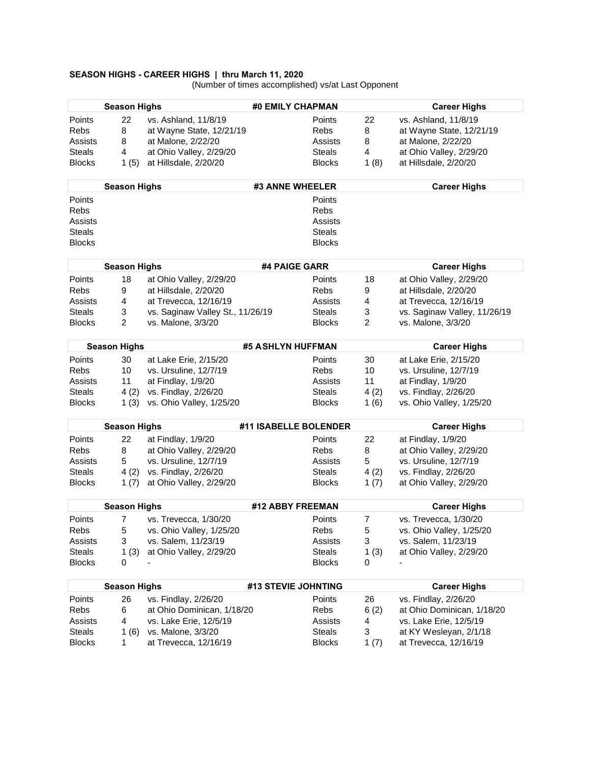#### **SEASON HIGHS - CAREER HIGHS | thru March 11, 2020**

(Number of times accomplished) vs/at Last Opponent

|               | <b>Season Highs</b> |                                  | #0 EMILY CHAPMAN      |               |                | <b>Career Highs</b>          |
|---------------|---------------------|----------------------------------|-----------------------|---------------|----------------|------------------------------|
| Points        | 22                  | vs. Ashland, 11/8/19             |                       | Points        | 22             | vs. Ashland, 11/8/19         |
| Rebs          | 8                   | at Wayne State, 12/21/19         |                       | Rebs          | 8              | at Wayne State, 12/21/19     |
| Assists       | 8                   | at Malone, 2/22/20               |                       | Assists       | 8              | at Malone, 2/22/20           |
| <b>Steals</b> | 4                   | at Ohio Valley, 2/29/20          |                       | <b>Steals</b> | 4              | at Ohio Valley, 2/29/20      |
| <b>Blocks</b> | 1(5)                | at Hillsdale, 2/20/20            |                       | <b>Blocks</b> | 1 $(8)$        | at Hillsdale, 2/20/20        |
|               |                     |                                  |                       |               |                |                              |
|               | <b>Season Highs</b> |                                  | #3 ANNE WHEELER       |               |                | <b>Career Highs</b>          |
| Points        |                     |                                  |                       | Points        |                |                              |
| Rebs          |                     |                                  |                       | Rebs          |                |                              |
| Assists       |                     |                                  |                       | Assists       |                |                              |
| <b>Steals</b> |                     |                                  |                       | <b>Steals</b> |                |                              |
| <b>Blocks</b> |                     |                                  |                       | <b>Blocks</b> |                |                              |
|               | <b>Season Highs</b> |                                  | #4 PAIGE GARR         |               |                | <b>Career Highs</b>          |
| Points        | 18                  | at Ohio Valley, 2/29/20          |                       | Points        | 18             | at Ohio Valley, 2/29/20      |
| Rebs          | 9                   | at Hillsdale, 2/20/20            |                       | Rebs          | 9              | at Hillsdale, 2/20/20        |
| Assists       | 4                   | at Trevecca, 12/16/19            |                       | Assists       | 4              | at Trevecca, 12/16/19        |
| <b>Steals</b> | 3                   | vs. Saginaw Valley St., 11/26/19 |                       | <b>Steals</b> | 3              | vs. Saginaw Valley, 11/26/19 |
| <b>Blocks</b> | 2                   | vs. Malone, 3/3/20               |                       | <b>Blocks</b> | $\overline{2}$ | vs. Malone, 3/3/20           |
|               |                     |                                  |                       |               |                |                              |
|               | <b>Season Highs</b> |                                  | #5 ASHLYN HUFFMAN     |               |                | <b>Career Highs</b>          |
| Points        | 30                  | at Lake Erie, 2/15/20            |                       | Points        | 30             | at Lake Erie, 2/15/20        |
| Rebs          | 10                  | vs. Ursuline, 12/7/19            |                       | Rebs          | 10             | vs. Ursuline, 12/7/19        |
| Assists       | 11                  | at Findlay, 1/9/20               |                       | Assists       | 11             | at Findlay, 1/9/20           |
| <b>Steals</b> | 4(2)                | vs. Findlay, 2/26/20             |                       | <b>Steals</b> | 4(2)           | vs. Findlay, 2/26/20         |
| <b>Blocks</b> | 1(3)                | vs. Ohio Valley, 1/25/20         |                       | <b>Blocks</b> | 1(6)           | vs. Ohio Valley, 1/25/20     |
|               | <b>Season Highs</b> |                                  | #11 ISABELLE BOLENDER |               |                | <b>Career Highs</b>          |
| Points        | 22                  | at Findlay, 1/9/20               |                       | Points        | 22             | at Findlay, 1/9/20           |
| Rebs          | 8                   | at Ohio Valley, 2/29/20          |                       | Rebs          | 8              | at Ohio Valley, 2/29/20      |
| Assists       | 5                   | vs. Ursuline, 12/7/19            |                       | Assists       | 5              | vs. Ursuline, 12/7/19        |
| <b>Steals</b> | 4(2)                | vs. Findlay, 2/26/20             |                       | <b>Steals</b> | 4(2)           | vs. Findlay, 2/26/20         |
| <b>Blocks</b> | 1 $(7)$             | at Ohio Valley, 2/29/20          |                       | <b>Blocks</b> | 1 $(7)$        | at Ohio Valley, 2/29/20      |
|               |                     |                                  |                       |               |                |                              |
|               | <b>Season Highs</b> |                                  | #12 ABBY FREEMAN      |               |                | <b>Career Highs</b>          |
| Points        | 7                   | vs. Trevecca, 1/30/20            |                       | Points        | $\overline{7}$ | vs. Trevecca, 1/30/20        |
| Rebs          | 5                   | vs. Ohio Valley, 1/25/20         |                       | Rebs          | 5              | vs. Ohio Valley, 1/25/20     |
| Assists       | 3                   | vs. Salem, 11/23/19              |                       | Assists       | 3              | vs. Salem, 11/23/19          |
| <b>Steals</b> | 1(3)                | at Ohio Valley, 2/29/20          |                       | <b>Steals</b> | 1(3)           | at Ohio Valley, 2/29/20      |
| <b>Blocks</b> | 0                   |                                  |                       | <b>Blocks</b> | 0              |                              |
|               |                     |                                  |                       |               |                |                              |
|               | <b>Season Highs</b> |                                  | #13 STEVIE JOHNTING   |               |                | <b>Career Highs</b>          |
| Points        | 26                  | vs. Findlay, 2/26/20             |                       | Points        | 26             | vs. Findlay, 2/26/20         |
| Rebs          | 6                   | at Ohio Dominican, 1/18/20       |                       | Rebs          | 6(2)           | at Ohio Dominican, 1/18/20   |
| Assists       | 4                   | vs. Lake Erie, 12/5/19           |                       | Assists       | 4              | vs. Lake Erie, 12/5/19       |
| <b>Steals</b> | 1 $(6)$             | vs. Malone, 3/3/20               |                       | <b>Steals</b> | 3              | at KY Wesleyan, 2/1/18       |
| <b>Blocks</b> | 1                   | at Trevecca, 12/16/19            |                       | <b>Blocks</b> | 1(7)           | at Trevecca, 12/16/19        |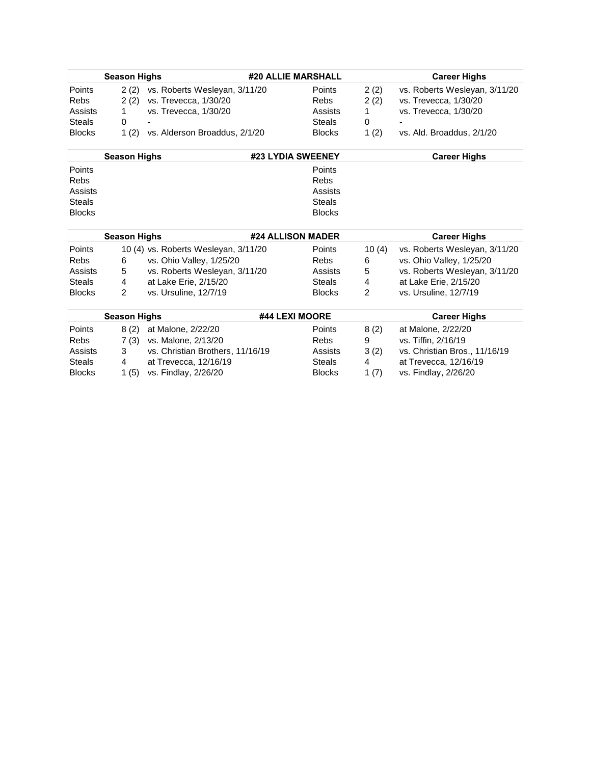|               | <b>Season Highs</b> |                               | #20 ALLIE MARSHALL |               |         | <b>Career Highs</b>           |
|---------------|---------------------|-------------------------------|--------------------|---------------|---------|-------------------------------|
| Points        | 2(2)                | vs. Roberts Wesleyan, 3/11/20 |                    | <b>Points</b> | 2(2)    | vs. Roberts Wesleyan, 3/11/20 |
| <b>Rebs</b>   | 2(2)                | vs. Trevecca, 1/30/20         |                    | <b>Rebs</b>   | 2(2)    | vs. Trevecca, 1/30/20         |
| Assists       |                     | vs. Trevecca, 1/30/20         |                    | Assists       |         | vs. Trevecca, 1/30/20         |
| <b>Steals</b> |                     | $\overline{\phantom{0}}$      |                    | <b>Steals</b> | 0       |                               |
| <b>Blocks</b> | 1(2)                | vs. Alderson Broaddus, 2/1/20 |                    | <b>Blocks</b> | 1 $(2)$ | vs. Ald. Broaddus, 2/1/20     |

| <b>Season Highs</b> | #23 LYDIA SWEENEY | <b>Career Highs</b> |
|---------------------|-------------------|---------------------|
| Points              | Points            |                     |
| Rebs                | Rebs              |                     |
| Assists             | Assists           |                     |
| <b>Steals</b>       | <b>Steals</b>     |                     |
| <b>Blocks</b>       | <b>Blocks</b>     |                     |

|               | <b>Season Highs</b> |                                      | #24 ALLISON MADER |               |       | <b>Career Highs</b>           |
|---------------|---------------------|--------------------------------------|-------------------|---------------|-------|-------------------------------|
| Points        |                     | 10 (4) vs. Roberts Wesleyan, 3/11/20 |                   | <b>Points</b> | 10(4) | vs. Roberts Wesleyan, 3/11/20 |
| <b>Rebs</b>   |                     | vs. Ohio Valley, 1/25/20             |                   | <b>Rebs</b>   | 6     | vs. Ohio Valley, 1/25/20      |
| Assists       | 5                   | vs. Roberts Wesleyan, 3/11/20        |                   | Assists       | 5     | vs. Roberts Wesleyan, 3/11/20 |
| <b>Steals</b> | 4                   | at Lake Erie, 2/15/20                |                   | <b>Steals</b> | 4     | at Lake Erie, 2/15/20         |
| <b>Blocks</b> |                     | vs. Ursuline, 12/7/19                |                   | <b>Blocks</b> |       | vs. Ursuline, 12/7/19         |

|               | <b>Season Highs</b> |                                  | #44 LEXI MOORE |      | <b>Career Highs</b>           |
|---------------|---------------------|----------------------------------|----------------|------|-------------------------------|
| Points        | 8 (2)               | at Malone, 2/22/20               | Points         | 8(2) | at Malone, 2/22/20            |
| <b>Rebs</b>   | 7 (3)               | vs. Malone, 2/13/20              | <b>Rebs</b>    | 9    | vs. Tiffin, 2/16/19           |
| Assists       |                     | vs. Christian Brothers, 11/16/19 | Assists        | 3(2) | vs. Christian Bros., 11/16/19 |
| <b>Steals</b> | 4                   | at Trevecca, 12/16/19            | <b>Steals</b>  | 4    | at Trevecca, 12/16/19         |
| <b>Blocks</b> | 1(5)                | vs. Findlay, 2/26/20             | <b>Blocks</b>  | 1(7) | vs. Findlay, 2/26/20          |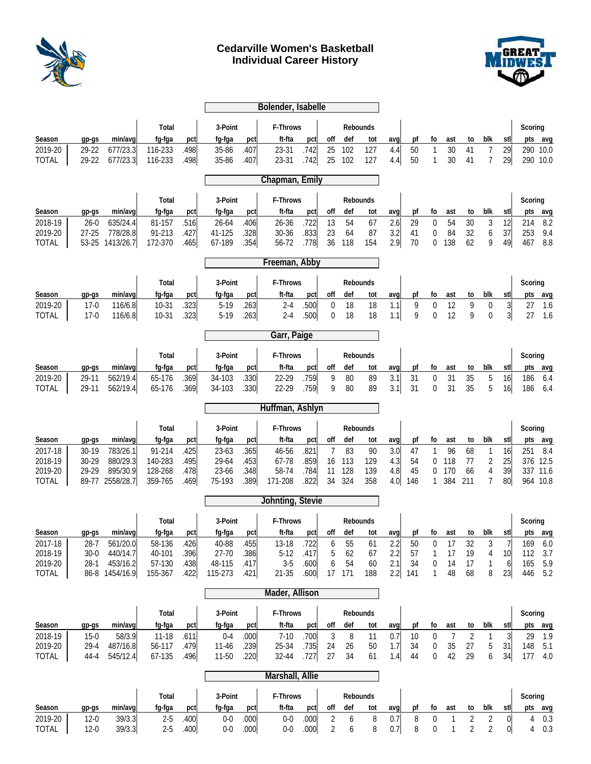

# **Cedarville Women's Basketball Individual Career History**



|                    |                   |                      |                   |              |                     |              | Bolender, Isabelle |              |                       |          |                 |            |          |                  |                     |                      |                       |                |                                     |            |
|--------------------|-------------------|----------------------|-------------------|--------------|---------------------|--------------|--------------------|--------------|-----------------------|----------|-----------------|------------|----------|------------------|---------------------|----------------------|-----------------------|----------------|-------------------------------------|------------|
|                    |                   |                      |                   |              |                     |              |                    |              |                       |          |                 |            |          |                  |                     |                      |                       |                |                                     |            |
|                    |                   |                      | Total             |              | 3-Point             |              | F-Throws           |              |                       |          | Rebounds        |            |          |                  |                     |                      |                       |                | Scoring                             |            |
| Season             | $qp-gs$           | min/avg              | fg-fga            | pct          | fg-fga              | pct          | ft-fta             | pct          | off                   | def      | tot             | avq        | pf       | fo               | ast                 | to                   | blk                   | stl            | pts avg                             |            |
| 2019-20            | 29-22             | 677/23.3             | 116-233           | .498         | 35-86               | .407         | 23-31              | .742         | 25                    | 102      | 127             | 4.4        | 50       | 1                | 30                  | 41                   | 7                     | 29             | 290 10.0                            |            |
| <b>TOTAL</b>       | 29-22             | 677/23.3             | 116-233           | .498         | 35-86               | .407         | 23-31              | .742         | 25                    | 102      | 127             | 4.4        | 50       | $\mathbf{1}$     | 30                  | 41                   | 7                     | 29             | 290 10.0                            |            |
|                    |                   |                      |                   |              |                     |              | Chapman, Emily     |              |                       |          |                 |            |          |                  |                     |                      |                       |                |                                     |            |
|                    |                   |                      |                   |              |                     |              |                    |              |                       |          |                 |            |          |                  |                     |                      |                       |                |                                     |            |
|                    |                   |                      | Total             |              | 3-Point             |              | F-Throws           |              |                       |          | Rebounds        |            |          |                  |                     |                      |                       |                | Scoring                             |            |
| Season             | $qp-gs$           | min/avg              | fg-fga            | pct          | fg-fga              | pct          | ft-fta             | pct          | off                   | def      | tot             | avg        | pf       | fo               | ast                 | to                   | blk                   | stll           | pts                                 | avg        |
| 2018-19<br>2019-20 | 26-0<br>$27 - 25$ | 635/24.4<br>778/28.8 | 81-157<br>91-213  | .516<br>.427 | $26 - 64$<br>41-125 | .406<br>.328 | 26-36<br>30-36     | .722<br>.833 | 13<br>23              | 54<br>64 | 67<br>87        | 2.6<br>3.2 | 29<br>41 | 0<br>0           | 54<br>84            | 30<br>32             | 3<br>6                | 12<br>37       | 214<br>253                          | 8.2<br>9.4 |
| <b>TOTAL</b>       | 53-25             | 1413/26.7            | 172-370           | .465         | 67-189              | .354         | 56-72              | .778         | 36                    | 118      | 154             | 2.9        | 70       | 0                | 138                 | 62                   | 9                     | 49             | 467                                 | 8.8        |
|                    |                   |                      |                   |              |                     |              | Freeman, Abby      |              |                       |          |                 |            |          |                  |                     |                      |                       |                |                                     |            |
|                    |                   |                      |                   |              |                     |              |                    |              |                       |          |                 |            |          |                  |                     |                      |                       |                |                                     |            |
|                    |                   |                      | Total             |              | 3-Point             |              | F-Throws           |              |                       |          | Rebounds        |            |          |                  |                     |                      |                       |                | Scoring                             |            |
| Season             | qp-qs             | min/avg              | fq-fqa            | pct          | fg-fga              | pct          | ft-fta             | pct          | off                   | def      | tot             | avg        | pf       | fo               | ast                 | to                   | blk                   | stll           | pts<br>avg                          |            |
| 2019-20            | $17-0$            | 116/6.8              | 10-31             | .323         | $5-19$              | .263         | $2 - 4$            | .500         | $\mathbf 0$           | 18       | 18              | 1.1        | 9        | $\mathbf 0$      | 12                  | 9                    | 0                     | $\overline{3}$ | 27                                  | 1.6        |
| <b>TOTAL</b>       | $17-0$            | 116/6.8              | $10-31$           | .323         | $5-19$              | .263         | $2 - 4$            | .500         | $\mathbf 0$           | 18       | 18              | 1.1        | 9        | 0                | 12                  | 9                    | 0                     | $\frac{3}{2}$  | 27                                  | 1.6        |
|                    |                   |                      |                   |              |                     |              | Garr, Paige        |              |                       |          |                 |            |          |                  |                     |                      |                       |                |                                     |            |
|                    |                   |                      | Total             |              | 3-Point             |              | F-Throws           |              |                       |          | Rebounds        |            |          |                  |                     |                      |                       |                | Scoring                             |            |
| Season             | $qp-gs$           | min/avg              | fg-fga            | pct          | fg-fga              | pct          | ft-fta             | pct          | off                   | def      | tot             | avq        | pf       | fo               | ast                 | to                   | blk                   | stll           | pts                                 | avg        |
| 2019-20            | 29-11             | 562/19.4             | 65-176            | .369         | 34-103              | .330         | 22-29              | .759         | 9                     | 80       | 89              | 3.1        | 31       | $\boldsymbol{0}$ | 31                  | 35                   | 5                     | 16             | 186                                 | 6.4        |
| <b>TOTAL</b>       | 29-11             | 562/19.4             | 65-176            | .369         | 34-103              | .330         | 22-29              | .759         | 9                     | 80       | 89              | 3.1        | 31       | 0                | 31                  | 35                   | 5                     | 16             | 186                                 | 6.4        |
|                    |                   |                      |                   |              |                     |              | Huffman, Ashlyn    |              |                       |          |                 |            |          |                  |                     |                      |                       |                |                                     |            |
|                    |                   |                      |                   |              |                     |              |                    |              |                       |          |                 |            |          |                  |                     |                      |                       |                |                                     |            |
|                    |                   |                      |                   |              |                     |              |                    |              |                       |          |                 |            |          |                  |                     |                      |                       |                |                                     |            |
| Season             | $gp-gs$           | min/avg              | Total<br>fg-fga   | pct          | 3-Point<br>fg-fga   | pct          | F-Throws<br>ft-fta | pct          | off                   | def      | Rebounds<br>tot | avg        | pf       | fo               | ast                 | to                   | blk                   | stl            | Scoring                             |            |
| 2017-18            | 30-19             | 783/26.1             | 91-214            | .425         | 23-63               | .365         | 46-56              | .821         | 7                     | 83       | 90              | 3.0        | 47       | 1                | 96                  | 68                   | 1                     | 16             | pts<br>avg<br>251<br>8.4            |            |
| 2018-19            | 30-29             | 880/29.3             | 140-283           | .495         | 29-64               | .453         | 67-78              | .859         | 16                    | 113      | 129             | 4.3        | 54       | 0                | 118                 | 77                   | 2                     | 25             | 376 12.5                            |            |
| 2019-20            | 29-29             | 895/30.9             | 128-268           | .478         | 23-66               | .348         | 58-74              | .784         | 11                    | 128      | 139             | 4.8        | 45       | 0                | 170                 | 66                   | 4                     | 39             | 337<br>11.6                         |            |
| <b>TOTAL</b>       | 89-77             | 2558/28.7            | 359-765           | .469         | 75-193              | .389         | 171-208            | .822         | 34                    | 324      | 358             | 4.0        | 146      | 1                | 384                 | 211                  | 7                     | 80             | 964 10.8                            |            |
|                    |                   |                      |                   |              |                     |              | Johnting, Stevie   |              |                       |          |                 |            |          |                  |                     |                      |                       |                |                                     |            |
|                    |                   |                      | Total             |              | 3-Point             |              | F-Throws           |              |                       |          | Rebounds        |            |          |                  |                     |                      |                       |                | Scoring                             |            |
| Season             | gp-gs             | min/avg              | fg-fga            | pct          | fg-fga              | pct          | ft-fta             | pct          | $_{\mathsf{off}}$     | def      | tot             | avg        | pf       | fo               | ast                 | to                   | blk                   | stl            | pts                                 | avg        |
| 2017-18            | 28-7              | 561/20.0             | 58-136            | .426         | 40-88               | .455         | 13-18              | .722         | 6                     | 55       | 61              | 2.2        | 50       | $\boldsymbol{0}$ | 17                  | 32                   | 3                     | 7              | 169                                 | 6.0        |
| 2018-19            | $30 - 0$          | 440/14.7             | 40-101            | .396         | 27-70               | .386         | $5-12$             | .417         | 5                     | 62       | 67              | 2.2        | 57       | 1                | 17                  | 19                   | 4                     | 10             | 112                                 | 3.7        |
| 2019-20            | $28-1$            | 453/16.2             | 57-130            | .438         | 48-115              | .417         | $3-5$              | .600         | 6                     | 54       | 60              | 2.1        | 34       | $\boldsymbol{0}$ | 14                  | 17                   | 1                     | $6 \mid$       | 165                                 | 5.9        |
| <b>TOTAL</b>       | 86-8              | 1454/16.9            | 155-367           | .422         | 115-273             | .421         | 21-35              | .600         | 17                    | 171      | 188             | 2.2        | 141      | $\mathbf{1}$     | 48                  | 68                   | 8                     | 23             | 446                                 | 5.2        |
|                    |                   |                      |                   |              |                     |              | Mader, Allison     |              |                       |          |                 |            |          |                  |                     |                      |                       |                |                                     |            |
|                    |                   |                      | Total             |              | 3-Point             |              | F-Throws           |              |                       |          | Rebounds        |            |          |                  |                     |                      |                       |                | Scoring                             |            |
| Season             | gp-gs             | min/avg              | fg-fga            | pct          | fg-fga              | pct          | ft-fta             | pct          | off                   | def      | tot             | avg        | pf       | fo               | ast                 | to                   | blk                   | stll           | pts<br>avg                          |            |
| 2018-19            | $15-0$            | 58/3.9               | $11-18$           | .611         | $0 - 4$             | .000         | $7 - 10$           | .700         | 3                     | 8        | 11              | 0.7        | 10       | $\boldsymbol{0}$ | $\overline{7}$      | $\overline{2}$       | 1                     | 3              | 29                                  | 1.9        |
| 2019-20            | $29 - 4$          | 487/16.8             | 56-117            | .479         | 11-46               | .239         | 25-34              | .735         | 24                    | 26       | 50              | 1.7        | 34       | $\pmb{0}$        | 35                  | 27                   | 5                     | 31             | 148                                 | 5.1        |
| <b>TOTAL</b>       | 44-4              | 545/12.4             | 67-135            | .496         | 11-50               | .220         | 32-44              | .727         | 27                    | 34       | 61              | 1.4        | 44       | 0                | 42                  | 29                   | 6                     | 34             | 177                                 | 4.0        |
|                    |                   |                      |                   |              |                     |              | Marshall, Allie    |              |                       |          |                 |            |          |                  |                     |                      |                       |                |                                     |            |
|                    |                   |                      | Total             |              | 3-Point             |              | F-Throws           |              |                       |          | Rebounds        |            |          |                  |                     |                      |                       |                | Scoring                             |            |
| Season<br>2019-20  | gp-gs<br>$12 - 0$ | min/avg<br>39/3.3    | fg-fga<br>$2 - 5$ | pct<br>.400  | fg-fga<br>$0-0$     | pct<br>.000  | ft-fta<br>$0-0$    | pct<br>.000  | off<br>$\overline{2}$ | def<br>6 | tot<br>$\, 8$   | avg<br>0.7 | рf<br>8  | fo<br>$\pmb{0}$  | ast<br>$\mathbf{1}$ | to<br>$\overline{2}$ | blk<br>$\overline{2}$ | stll<br> 0     | pts<br>avg<br>$\overline{4}$<br>0.3 |            |

TOTAL | 12-0 39/3.3| 2-5 .400| 0-0 .000| 0-0 .000| 2 6 8 0.7| 8 0 1 2 2 0| 4 0.3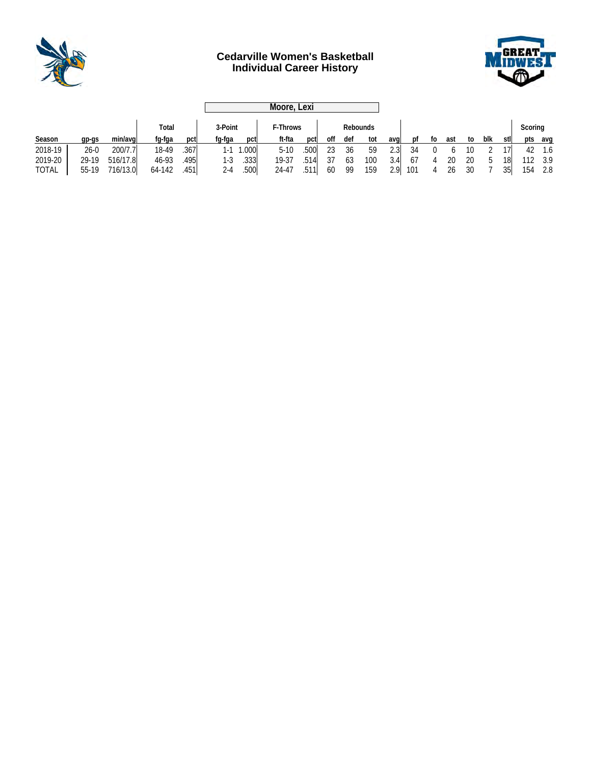

# **Cedarville Women's Basketball Individual Career History**



|              |         |          |        |      |         | Moore, Lexi |                      |      |     |     |     |      |     |    |     |    |         |      |     |     |
|--------------|---------|----------|--------|------|---------|-------------|----------------------|------|-----|-----|-----|------|-----|----|-----|----|---------|------|-----|-----|
|              |         |          | Total  |      | 3-Point |             | F-Throws<br>Rebounds |      |     |     |     |      |     |    |     |    | Scoring |      |     |     |
| Season       | $qp-qs$ | min/avgl | fg-fga | pct  | fg-fga  | pct         | ft-fta               | pct  | off | def | tot | aval | nt  | to | ast | to | blk     | stll | pts | avq |
| 2018-19      | $26-0$  | 200/7.7  | 18-49  | .367 | $1-1$   | 1.000       | $5-10$               | .500 | 23  | 36  | 59  | 2.3  | 34  |    |     | 10 |         | 17   | 42  | 1.6 |
| 2019-20      | 29-19   | 516/17.8 | 46-93  | .495 | 1-3     | .333        | 19-37                | .514 | 37  | 63  | 100 | 3.4  | 67  |    | 20  | 20 | b       | 18I  | 112 | 3.9 |
| <b>TOTAL</b> | 55-19   | 716/13.0 | 64-142 | .451 | $2 - 4$ | .500        | 24-47                | .511 | 60  | 99  | 159 | 2.9  | 101 |    | 26  | 30 |         | 35   | 154 | 2.8 |
|              |         |          |        |      |         |             |                      |      |     |     |     |      |     |    |     |    |         |      |     |     |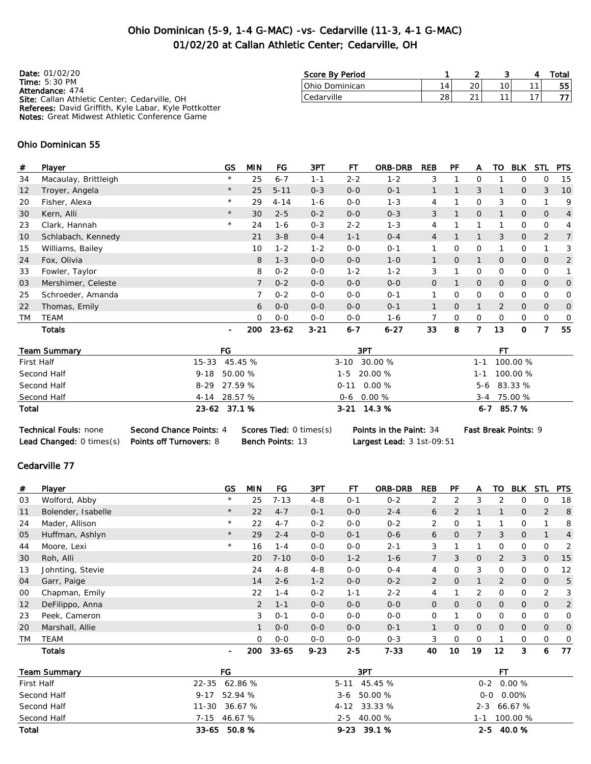# Ohio Dominican (5-9, 1-4 G-MAC) -vs- Cedarville (11-3, 4-1 G-MAC) 01/02/20 at Callan Athletic Center; Cedarville, OH

| <b>Date: 01/02/20</b>                                                  | Score By Period |                |               |  | Total |
|------------------------------------------------------------------------|-----------------|----------------|---------------|--|-------|
| Time: $5:30$ PM                                                        | lOhio Dominican | $\overline{A}$ | 20            |  | 55    |
| <b>Attendance: 474</b><br>Site: Callan Athletic Center; Cedarville, OH | Cedarville      | 28             | $\mathcal{L}$ |  |       |
| <b>Referees:</b> David Griffith, Kyle Labar, Kyle Pottkotter           |                 |                |               |  |       |
| <b>Notes:</b> Great Midwest Athletic Conference Game                   |                 |                |               |  |       |

### Ohio Dominican 55

| #  | Player               | GS             | <b>MIN</b>     | FG        | 3PT      | FТ      | <b>ORB-DRB</b> | <b>REB</b>     | PF             | A              | то             | <b>BLK</b>     | STL            | <b>PTS</b>     |
|----|----------------------|----------------|----------------|-----------|----------|---------|----------------|----------------|----------------|----------------|----------------|----------------|----------------|----------------|
| 34 | Macaulay, Brittleigh | $\star$        | 25             | $6 - 7$   | $1 - 1$  | $2 - 2$ | $1 - 2$        | 3              |                | 0              |                | 0              | 0              | -15            |
| 12 | Troyer, Angela       | $\star$        | 25             | $5 - 11$  | $0 - 3$  | $0 - 0$ | $O - 1$        |                |                | 3              | 1              | $\overline{O}$ | 3              | 10             |
| 20 | Fisher, Alexa        | $\star$        | 29             | $4 - 14$  | $1 - 6$  | $0 - 0$ | $1 - 3$        | 4              |                | 0              | 3              | 0              |                | 9              |
| 30 | Kern, Alli           | $\star$        | 30             | $2 - 5$   | $0 - 2$  | $0 - 0$ | $0 - 3$        | 3              |                | $\overline{O}$ | 1              | 0              | $\overline{O}$ | $\overline{4}$ |
| 23 | Clark, Hannah        | $\star$        | 24             | $1 - 6$   | $0 - 3$  | $2 - 2$ | $1 - 3$        | 4              |                |                |                | 0              | 0              | 4              |
| 10 | Schlabach, Kennedy   |                | 21             | $3 - 8$   | $0 - 4$  | $1 - 1$ | $O - 4$        | $\overline{4}$ |                | 1              | 3              | 0              | $\overline{2}$ | 7              |
| 15 | Williams, Bailey     |                | 10             | $1 - 2$   | $1 - 2$  | $0 - 0$ | $0 - 1$        |                | 0              | 0              |                | 0              |                | 3              |
| 24 | Fox, Olivia          |                | 8              | $1 - 3$   | $0 - 0$  | $0 - 0$ | $1 - 0$        |                | $\overline{O}$ | 1              | $\overline{O}$ | 0              | $\overline{O}$ | $\overline{2}$ |
| 33 | Fowler, Taylor       |                | 8              | $0 - 2$   | $0 - 0$  | $1 - 2$ | $1 - 2$        | 3              |                | 0              | 0              | 0              | 0              |                |
| 03 | Mershimer, Celeste   |                | $\overline{7}$ | $0 - 2$   | $0 - 0$  | $0 - 0$ | $0 - 0$        | $\overline{O}$ |                | $\overline{O}$ | $\overline{O}$ | $\overline{O}$ | $\overline{O}$ | 0              |
| 25 | Schroeder, Amanda    |                |                | $0 - 2$   | $0 - 0$  | $0 - 0$ | $O - 1$        |                | $\Omega$       | 0              | $\Omega$       | 0              | 0              | 0              |
| 22 | Thomas, Emily        |                | 6              | $0 - 0$   | $0 - 0$  | $0 - 0$ | $O - 1$        |                | $\Omega$       | 1              | $\overline{2}$ | $\overline{O}$ | $\overline{O}$ | 0              |
| TM | TEAM                 |                | $\circ$        | $0 - 0$   | $0 - 0$  | $0 - 0$ | $1 - 6$        |                | 0              | 0              | 0              | 0              | 0              | 0              |
|    | <b>Totals</b>        | $\blacksquare$ | 200            | $23 - 62$ | $3 - 21$ | $6 - 7$ | $6 - 27$       | 33             | 8              | 7              | 13             | 0              | 7              | 55             |

| <b>Technical Fouls: none</b>    | Second Chance Points: 4        | <b>Scores Tied: 0 times(s)</b> |
|---------------------------------|--------------------------------|--------------------------------|
| <b>Lead Changed: 0 times(s)</b> | <b>Points off Turnovers: 8</b> | <b>Bench Points: 13</b>        |

Points in the Paint: 34 Fast Break Points: 9 Largest Lead: 3 1st-09:51

### Cedarville 77

| #         | Player                  | GS             | <b>MIN</b> | FG        | 3PT      | FT          | <b>ORB-DRB</b> | <b>REB</b>     | PF             | A              | TO             | <b>BLK</b>     | <b>STL</b>     | <b>PTS</b>     |
|-----------|-------------------------|----------------|------------|-----------|----------|-------------|----------------|----------------|----------------|----------------|----------------|----------------|----------------|----------------|
| 03        | Wolford, Abby           | $\star$        | 25         | $7 - 13$  | $4 - 8$  | $0 - 1$     | $0 - 2$        | 2              | 2              | 3              | 2              | 0              | 0              | 18             |
| 11        | Bolender, Isabelle      | $\star$        | 22         | $4 - 7$   | $0 - 1$  | $O-O$       | $2 - 4$        | 6              | 2              |                |                | $\mathbf 0$    | 2              | 8              |
| 24        | Mader, Allison          | $\star$        | 22         | $4 - 7$   | $0 - 2$  | $0-0$       | $0 - 2$        | 2              | 0              | 1              |                | 0              |                | 8              |
| 05        | Huffman, Ashlyn         | $\star$        | 29         | $2 - 4$   | $0-0$    | $O - 1$     | $0 - 6$        | 6              | $\overline{O}$ | $\overline{7}$ | 3              | $\overline{0}$ |                | $\overline{4}$ |
| 44        | Moore, Lexi             | $\star$        | 16         | $1 - 4$   | $0-0$    | $0 - 0$     | $2 - 1$        | 3              |                | 1              | 0              | $\mathbf{O}$   | 0              | $\overline{2}$ |
| 30        | Roh, Alli               |                | 20         | $7 - 10$  | $0-0$    | $1 - 2$     | $1 - 6$        | $\overline{7}$ | 3              | $\mathbf{O}$   | 2              | 3              | $\mathbf 0$    | 15             |
| 13        | Johnting, Stevie        |                | 24         | $4 - 8$   | $4 - 8$  | $0 - 0$     | $0 - 4$        | 4              | 0              | 3              | 0              | 0              | 0              | 12             |
| 04        | Garr, Paige             |                | 14         | $2 - 6$   | $1 - 2$  | $O-O$       | $0 - 2$        | 2              | 0              | 1              | 2              | $\mathbf{O}$   | $\mathbf{0}$   | 5              |
| 00        | Chapman, Emily          |                | 22         | $1 - 4$   | $0 - 2$  | $1 - 1$     | $2 - 2$        | 4              |                | 2              | $\Omega$       | $\circ$        | 2              | 3              |
| 12        | DeFilippo, Anna         |                | 2          | $1 - 1$   | $0-0$    | $0 - 0$     | $0 - 0$        | $\overline{0}$ | 0              | $\overline{O}$ | $\overline{0}$ | $\mathbf 0$    | $\overline{0}$ | $\overline{2}$ |
| 23        | Peek, Cameron           |                | 3          | $0 - 1$   | $0-0$    | $0 - 0$     | $O-O$          | 0              |                | 0              | 0              | $\mathsf{O}$   | $\circ$        | $\mathbf 0$    |
| 20        | Marshall, Allie         |                | 1          | $0-0$     | $0-0$    | $0-0$       | $0 - 1$        | $\mathbf{1}$   | 0              | $\mathbf{O}$   | $\mathbf{0}$   | $\mathbf 0$    | $\overline{0}$ | $\mathbf 0$    |
| <b>TM</b> | <b>TEAM</b>             |                | $\Omega$   | $O-O$     | $O-O$    | $0-0$       | $0 - 3$        | 3              | $\mathbf 0$    | 0              |                | 0              | $\mathsf{O}$   | $\overline{0}$ |
|           | <b>Totals</b>           | $\blacksquare$ | 200        | $33 - 65$ | $9 - 23$ | $2 - 5$     | $7 - 33$       | 40             | 10             | 19             | 12             | 3              | 6              | 77             |
|           | <b>Team Summary</b>     | FG             |            |           |          | 3PT         |                |                |                |                | <b>FT</b>      |                |                |                |
|           | First Half              | $22 - 35$      | 62.86 %    |           |          | $5 - 11$    | 45.45 %        |                |                | $0 - 2$        |                | 0.00%          |                |                |
|           | Second Half<br>$9 - 17$ |                | 52.94 %    |           |          | $3 - 6$     | 50.00 %        |                |                | $0-0$          |                | $0.00\%$       |                |                |
|           | Second Half             | 11-30          | 36.67 %    |           |          | $4 - 12$    | 33.33 %        |                |                | $2 - 3$        |                | 66.67 %        |                |                |
|           | Second Half             | $7 - 15$       | 46.67 %    |           |          | 2-5 40.00 % |                |                |                |                |                | 1-1 100.00 %   |                |                |

| Total | 33-65<br>50.8 % | $9-23$ 39.1 % | $2 - 5$ | 40.0% |
|-------|-----------------|---------------|---------|-------|
|       |                 |               |         |       |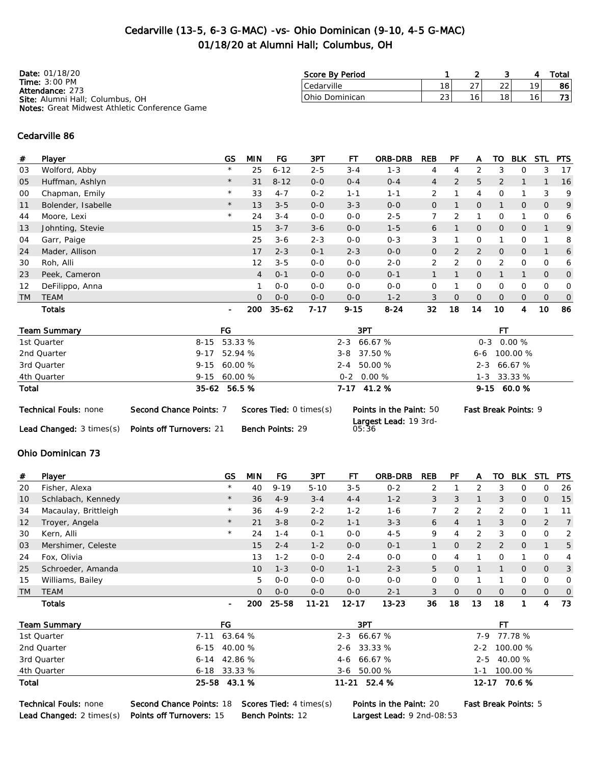# Cedarville (13-5, 6-3 G-MAC) -vs- Ohio Dominican (9-10, 4-5 G-MAC) 01/18/20 at Alumni Hall; Columbus, OH

| <b>Date: 01/18/20</b>                                | Score By Period |     |        |    |    | Total |
|------------------------------------------------------|-----------------|-----|--------|----|----|-------|
| Time: $3:00$ PM<br><b>Attendance: 273</b>            | Cedarville      | 18  | $\cap$ | າາ | 19 | 86 l  |
| Site: Alumni Hall; Columbus, OH                      | Ohio Dominican  | 231 |        | 18 | 16 | 73    |
| <b>Notes:</b> Great Midwest Athletic Conference Game |                 |     |        |    |    |       |

#### Cedarville 86

| #         | Player             | <b>GS</b>                | <b>MIN</b>     | FG        | 3PT      | FТ       | <b>ORB-DRB</b> | <b>REB</b>     | PF             | A              | то             | <b>BLK</b>     | <b>STL</b>     | <b>PTS</b>     |
|-----------|--------------------|--------------------------|----------------|-----------|----------|----------|----------------|----------------|----------------|----------------|----------------|----------------|----------------|----------------|
| 03        | Wolford, Abby      | $^{\star}$               | 25             | $6 - 12$  | $2 - 5$  | $3 - 4$  | $1 - 3$        | 4              | 4              | 2              | 3              | $\Omega$       | 3              | 17             |
| 05        | Huffman, Ashlyn    | $\star$                  | 31             | $8 - 12$  | $0-0$    | $0 - 4$  | $O - 4$        | $\overline{4}$ | $\overline{2}$ | 5              | $\overline{2}$ |                |                | 16             |
| 00        | Chapman, Emily     | $^{\star}$               | 33             | $4 - 7$   | $0 - 2$  | $1 - 1$  | $1 - 1$        | 2              |                | 4              | $\Omega$       |                | 3              | 9              |
| 11        | Bolender, Isabelle | $\star$                  | 13             | $3 - 5$   | $0 - 0$  | $3 - 3$  | $0 - 0$        | $\overline{0}$ |                | 0              |                | $\overline{0}$ | 0              | 9              |
| 44        | Moore, Lexi        | $^{\star}$               | 24             | $3 - 4$   | $0 - 0$  | $0 - 0$  | $2 - 5$        |                | 2              |                | 0              | 1              | 0              | 6              |
| 13        | Johnting, Stevie   |                          | 15             | $3 - 7$   | $3 - 6$  | $0 - 0$  | $1 - 5$        | 6              |                | $\overline{O}$ | $\overline{O}$ | $\overline{O}$ |                | 9              |
| 04        | Garr, Paige        |                          | 25             | $3 - 6$   | $2 - 3$  | $0 - 0$  | $0 - 3$        | 3              |                | $\Omega$       |                | 0              | ◢              | 8              |
| 24        | Mader, Allison     |                          | 17             | $2 - 3$   | $0 - 1$  | $2 - 3$  | $0 - 0$        | $\mathbf{O}$   | $\overline{2}$ | $\overline{2}$ | $\Omega$       | $\overline{0}$ |                | 6              |
| 30        | Roh, Alli          |                          | 12             | $3 - 5$   | $0-0$    | $0-0$    | $2 - 0$        | $\overline{2}$ | 2              | 0              | 2              | 0              | 0              | 6              |
| 23        | Peek, Cameron      |                          | $\overline{4}$ | $O - 1$   | $0-0$    | $0 - 0$  | $O - 1$        |                |                | $\overline{O}$ |                | 1              | $\overline{O}$ | 0              |
| 12        | DeFilippo, Anna    |                          |                | $0 - 0$   | $0 - 0$  | $0 - 0$  | $0 - 0$        | $\mathbf 0$    |                | 0              | $\Omega$       | 0              | 0              | 0              |
| <b>TM</b> | <b>TEAM</b>        |                          | $\Omega$       | $O-O$     | $0 - 0$  | $0 - 0$  | $1 - 2$        | 3              | $\Omega$       | $\overline{O}$ | $\overline{O}$ | $\overline{O}$ | $\overline{O}$ | $\overline{O}$ |
|           | <b>Totals</b>      | $\overline{\phantom{a}}$ | 200            | $35 - 62$ | $7 - 17$ | $9 - 15$ | $8 - 24$       | 32             | 18             | 14             | 10             | 4              | 10             | 86             |

| <b>Team Summary</b>          |                         | FG                             | 3PT                                                     | FТ                          |
|------------------------------|-------------------------|--------------------------------|---------------------------------------------------------|-----------------------------|
| 1st Quarter                  |                         | 8-15 53.33 %                   | $2 - 3$ 66.67 %                                         | $0-3$ 0.00 %                |
| 2nd Quarter                  |                         | $9-17$ 52.94 %                 | 3-8 37.50 %                                             | $6 - 6$ 100.00 %            |
| 3rd Quarter                  |                         | $9-15$ 60.00 %                 | 2-4 50.00 %                                             | $2 - 3$ 66.67 %             |
| 4th Quarter                  |                         | $9-15$ 60.00 %                 | $0-2$ 0.00 %                                            | 1-3 33.33 %                 |
| Total                        |                         | 35-62 56.5 %                   | $7-17$ 41.2 %                                           | $9-15$ 60.0 %               |
| <b>Technical Fouls: none</b> | Second Chance Points: 7 | <b>Scores Tied: 0 times(s)</b> | <b>Points in the Paint: 50</b><br>Largest Lead: 19 3rd- | <b>Fast Break Points: 9</b> |

Lead Changed: 3 times(s) Points off Turnovers: 21 Bench Points: 29

Largest Lead: 19 3rd-05:36

### Ohio Dominican 73

| #         | Player               | GS                       | MIN          | FG       | 3PT       | FТ        | <b>ORB-DRB</b> | <b>REB</b> | PF       | A            | то       | <b>BLK</b>     | STL            | <b>PTS</b>     |
|-----------|----------------------|--------------------------|--------------|----------|-----------|-----------|----------------|------------|----------|--------------|----------|----------------|----------------|----------------|
| 20        | Fisher, Alexa        | $\star$                  | 40           | $9 - 19$ | $5 - 10$  | $3 - 5$   | $0 - 2$        |            |          |              |          | 0              | 0              | -26            |
| 10        | Schlabach, Kennedy   | $\star$                  | 36           | $4 - 9$  | $3 - 4$   | $4 - 4$   | $1 - 2$        | 3          | 3        |              | 3        | $\overline{O}$ | 0              | 15             |
| 34        | Macaulay, Brittleigh | $\star$                  | 36           | $4 - 9$  | $2 - 2$   | $1 - 2$   | $1 - 6$        |            |          | 2            |          | $\Omega$       |                | 11             |
| 12        | Troyer, Angela       | $\star$                  | 21           | $3 - 8$  | $0 - 2$   | $1 - 1$   | $3 - 3$        | 6          | 4        |              | 3        | $\mathbf{0}$   | 2              | $\overline{7}$ |
| 30        | Kern, Alli           | $\star$                  | 24           | $1 - 4$  | $O - 1$   | $0 - 0$   | $4 - 5$        | 9          | 4        | 2            | 3        | $\Omega$       | O              | 2              |
| 03        | Mershimer, Celeste   |                          | 15           | $2 - 4$  | $1 - 2$   | $0 - 0$   | $0 - 1$        |            | $\Omega$ | 2            | 2        | $\mathbf{O}$   |                | 5              |
| 24        | Fox, Olivia          |                          | 13           | $1 - 2$  | $0 - 0$   | $2 - 4$   | $0 - 0$        | 0          | 4        |              | $\Omega$ |                | 0              | $\overline{4}$ |
| 25        | Schroeder, Amanda    |                          | 10           | $1 - 3$  | $0 - 0$   | $1 - 1$   | $2 - 3$        | 5          | $\Omega$ |              |          | $\mathbf{0}$   | $\Omega$       | $\overline{3}$ |
| 15        | Williams, Bailey     |                          | 5.           | $O-O$    | $0 - 0$   | $0 - 0$   | $0 - 0$        | 0          | $\Omega$ |              |          | 0              | 0              | $\circ$        |
| <b>TM</b> | <b>TEAM</b>          |                          | $\mathbf{0}$ | $0 - 0$  | $O-O$     | $0 - 0$   | $2 - 1$        | 3          | $\Omega$ | $\mathbf{0}$ | $\Omega$ | $\mathbf{0}$   | $\overline{0}$ | $\overline{0}$ |
|           | Totals               | $\overline{\phantom{a}}$ | 200          | 25-58    | $11 - 21$ | $12 - 17$ | $13 - 23$      | 36         | 18       | 13           | 18       |                | 4              | 73             |

| <b>Team Summary</b> | FG               | 3PT             |                 |
|---------------------|------------------|-----------------|-----------------|
| 1st Quarter         | 7-11 63.64 %     | 2-3 66.67 %     | 7-9 77.78 %     |
| 2nd Quarter         | $6 - 15$ 40.00 % | $2 - 6$ 33.33 % | 2-2 100.00 %    |
| 3rd Quarter         | $6-14$ 42.86 %   | $4-6$ 66.67 %   | 2-5 40.00 %     |
| 4th Quarter         | $6 - 18$ 33.33 % | $3-6$ 50.00 %   | 100.00 %<br>1-1 |
| Total               | 25-58 43.1 %     | $11-21$ 52.4 %  | 12-17 70.6 %    |

Technical Fouls: none Second Chance Points: 18 Scores Tied: 4 times(s) Points in the Paint: 20 Fast Break Points: 5 Lead Changed: 2 times(s) Points off Turnovers: 15 Bench Points: 12 Largest Lead: 9 2nd-08:53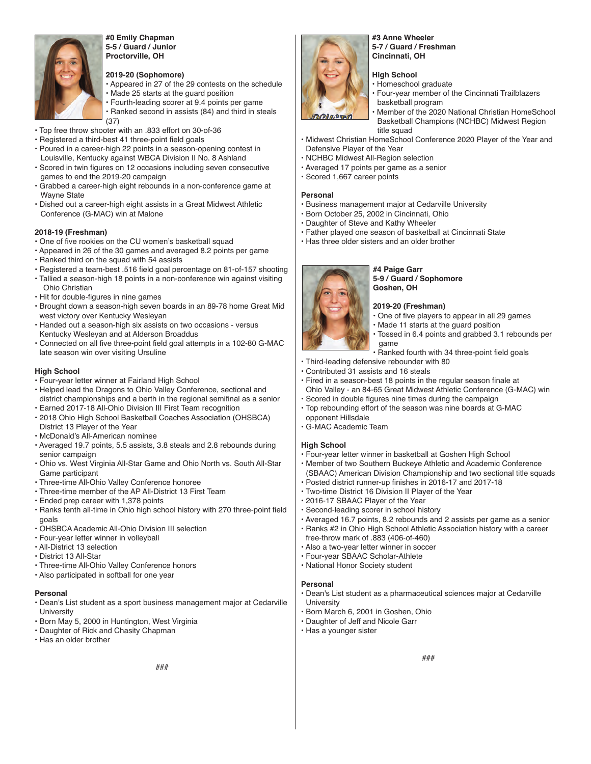

#### **#0 Emily Chapman 5-5 / Guard / Junior Proctorville, OH**

#### **2019-20 (Sophomore)**

- Appeared in 27 of the 29 contests on the schedule • Made 25 starts at the guard position
- Fourth-leading scorer at 9.4 points per game
- Ranked second in assists (84) and third in steals (37)
- Top free throw shooter with an .833 effort on 30-of-36
- Registered a third-best 41 three-point field goals
- Poured in a career-high 22 points in a season-opening contest in Louisville, Kentucky against WBCA Division II No. 8 Ashland
- Scored in twin figures on 12 occasions including seven consecutive games to end the 2019-20 campaign
- Grabbed a career-high eight rebounds in a non-conference game at Wayne State
- Dished out a career-high eight assists in a Great Midwest Athletic Conference (G-MAC) win at Malone

#### **2018-19 (Freshman)**

- One of five rookies on the CU women's basketball squad
- Appeared in 26 of the 30 games and averaged 8.2 points per game
- Ranked third on the squad with 54 assists
- Registered a team-best .516 field goal percentage on 81-of-157 shooting
- Tallied a season-high 18 points in a non-conference win against visiting Ohio Christian
- Hit for double-figures in nine games
- Brought down a season-high seven boards in an 89-78 home Great Mid west victory over Kentucky Wesleyan
- Handed out a season-high six assists on two occasions versus Kentucky Wesleyan and at Alderson Broaddus
- Connected on all five three-point field goal attempts in a 102-80 G-MAC late season win over visiting Ursuline

#### **High School**

- Four-year letter winner at Fairland High School
- Helped lead the Dragons to Ohio Valley Conference, sectional and district championships and a berth in the regional semifinal as a senior
- Earned 2017-18 All-Ohio Division III First Team recognition • 2018 Ohio High School Basketball Coaches Association (OHSBCA)
- District 13 Player of the Year
- McDonald's All-American nominee
- Averaged 19.7 points, 5.5 assists, 3.8 steals and 2.8 rebounds during senior campaign
- Ohio vs. West Virginia All-Star Game and Ohio North vs. South All-Star Game participant
- Three-time All-Ohio Valley Conference honoree
- Three-time member of the AP All-District 13 First Team
- Ended prep career with 1,378 points
- Ranks tenth all-time in Ohio high school history with 270 three-point field goals
- OHSBCA Academic All-Ohio Division III selection
- Four-year letter winner in volleyball
- All-District 13 selection
- District 13 All-Star
- Three-time All-Ohio Valley Conference honors
- Also participated in softball for one year

#### **Personal**

- Dean's List student as a sport business management major at Cedarville **University**
- Born May 5, 2000 in Huntington, West Virginia
- Daughter of Rick and Chasity Chapman
- Has an older brother



#### **#3 Anne Wheeler 5-7 / Guard / Freshman Cincinnati, OH**

#### **High School**

- Homeschool graduate
- Four-year member of the Cincinnati Trailblazers basketball program
- Member of the 2020 National Christian HomeSchool Basketball Champions (NCHBC) Midwest Region title squad
- Midwest Christian HomeSchool Conference 2020 Player of the Year and Defensive Player of the Year
- NCHBC Midwest All-Region selection
- Averaged 17 points per game as a senior
- Scored 1,667 career points

#### **Personal**

- Business management major at Cedarville University
- Born October 25, 2002 in Cincinnati, Ohio
- Daughter of Steve and Kathy Wheeler
- Father played one season of basketball at Cincinnati State
- Has three older sisters and an older brother

**#4 Paige Garr 5-9 / Guard / Sophomore Goshen, OH**

#### **2019-20 (Freshman)**

- One of five players to appear in all 29 games
- Made 11 starts at the guard position
	- Tossed in 6.4 points and grabbed 3.1 rebounds per game
- Ranked fourth with 34 three-point field goals
- Third-leading defensive rebounder with 80
- Contributed 31 assists and 16 steals
- Fired in a season-best 18 points in the regular season finale at Ohio Valley - an 84-65 Great Midwest Athletic Conference (G-MAC) win
- Scored in double figures nine times during the campaign
- Top rebounding effort of the season was nine boards at G-MAC opponent Hillsdale
- G-MAC Academic Team

#### **High School**

- Four-year letter winner in basketball at Goshen High School
- Member of two Southern Buckeye Athletic and Academic Conference (SBAAC) American Division Championship and two sectional title squads
- Posted district runner-up finishes in 2016-17 and 2017-18
- Two-time District 16 Division II Player of the Year
- 2016-17 SBAAC Player of the Year
- Second-leading scorer in school history
- Averaged 16.7 points, 8.2 rebounds and 2 assists per game as a senior
- Ranks #2 in Ohio High School Athletic Association history with a career free-throw mark of .883 (406-of-460)
- Also a two-year letter winner in soccer
- Four-year SBAAC Scholar-Athlete
- National Honor Society student

#### **Personal**

- Dean's List student as a pharmaceutical sciences major at Cedarville University
- Born March 6, 2001 in Goshen, Ohio
- Daughter of Jeff and Nicole Garr
- Has a younger sister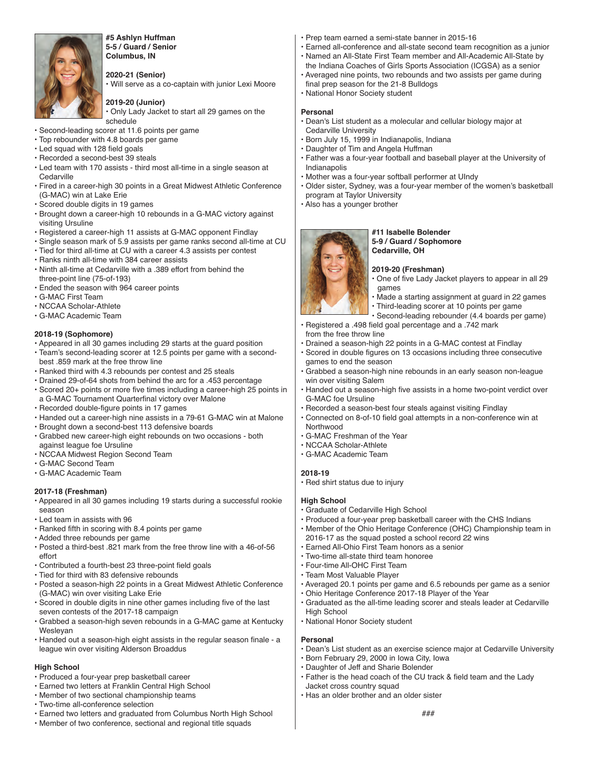

#### **#5 Ashlyn Huffman 5-5 / Guard / Senior Columbus, IN**

#### **2020-21 (Senior)**

• Will serve as a co-captain with junior Lexi Moore

#### **2019-20 (Junior)**

• Only Lady Jacket to start all 29 games on the schedule

- Second-leading scorer at 11.6 points per game
- Top rebounder with 4.8 boards per game
- Led squad with 128 field goals
- Recorded a second-best 39 steals
- Led team with 170 assists third most all-time in a single season at **Cedarville**
- Fired in a career-high 30 points in a Great Midwest Athletic Conference (G-MAC) win at Lake Erie
- Scored double digits in 19 games
- Brought down a career-high 10 rebounds in a G-MAC victory against visiting Ursuline
- Registered a career-high 11 assists at G-MAC opponent Findlay
- Single season mark of 5.9 assists per game ranks second all-time at CU
- Tied for third all-time at CU with a career 4.3 assists per contest
- Ranks ninth all-time with 384 career assists
- Ninth all-time at Cedarville with a .389 effort from behind the three-point line (75-of-193)
- Ended the season with 964 career points
- G-MAC First Team
- NCCAA Scholar-Athlete
- G-MAC Academic Team

#### **2018-19 (Sophomore)**

- Appeared in all 30 games including 29 starts at the guard position
- Team's second-leading scorer at 12.5 points per game with a second best .859 mark at the free throw line
- Ranked third with 4.3 rebounds per contest and 25 steals
- Drained 29-of-64 shots from behind the arc for a .453 percentage • Scored 20+ points or more five times including a career-high 25 points in
- a G-MAC Tournament Quarterfinal victory over Malone • Recorded double-figure points in 17 games
- Handed out a career-high nine assists in a 79-61 G-MAC win at Malone
- Brought down a second-best 113 defensive boards
- Grabbed new career-high eight rebounds on two occasions both against league foe Ursuline
- NCCAA Midwest Region Second Team
- G-MAC Second Team
- G-MAC Academic Team

#### **2017-18 (Freshman)**

- Appeared in all 30 games including 19 starts during a successful rookie season
- Led team in assists with 96
- Ranked fifth in scoring with 8.4 points per game
- Added three rebounds per game
- Posted a third-best .821 mark from the free throw line with a 46-of-56 effort
- Contributed a fourth-best 23 three-point field goals
- Tied for third with 83 defensive rebounds
- Posted a season-high 22 points in a Great Midwest Athletic Conference (G-MAC) win over visiting Lake Erie
- Scored in double digits in nine other games including five of the last seven contests of the 2017-18 campaign
- Grabbed a season-high seven rebounds in a G-MAC game at Kentucky Wesleyan
- Handed out a season-high eight assists in the regular season finale a league win over visiting Alderson Broaddus

### **High School**

- Produced a four-year prep basketball career
- Earned two letters at Franklin Central High School
- Member of two sectional championship teams
- Two-time all-conference selection
- Earned two letters and graduated from Columbus North High School
- Member of two conference, sectional and regional title squads
- Prep team earned a semi-state banner in 2015-16
- Earned all-conference and all-state second team recognition as a junior • Named an All-State First Team member and All-Academic All-State by
- the Indiana Coaches of Girls Sports Association (ICGSA) as a senior
- Averaged nine points, two rebounds and two assists per game during final prep season for the 21-8 Bulldogs
- National Honor Society student

#### **Personal**

- Dean's List student as a molecular and cellular biology major at Cedarville University
- Born July 15, 1999 in Indianapolis, Indiana
- Daughter of Tim and Angela Huffman
- Father was a four-year football and baseball player at the University of Indianapolis
- Mother was a four-year softball performer at UIndy
- Older sister, Sydney, was a four-year member of the women's basketball program at Taylor University
- Also has a younger brother



#### **#11 Isabelle Bolender 5-9 / Guard / Sophomore Cedarville, OH**

- **2019-20 (Freshman)**
- One of five Lady Jacket players to appear in all 29 games
- Made a starting assignment at guard in 22 games
- Third-leading scorer at 10 points per game
- Second-leading rebounder (4.4 boards per game)
- Registered a .498 field goal percentage and a .742 mark from the free throw line
- Drained a season-high 22 points in a G-MAC contest at Findlay
- Scored in double figures on 13 occasions including three consecutive games to end the season
- Grabbed a season-high nine rebounds in an early season non-league win over visiting Salem
- Handed out a season-high five assists in a home two-point verdict over G-MAC foe Ursuline
- Recorded a season-best four steals against visiting Findlay
- Connected on 8-of-10 field goal attempts in a non-conference win at Northwood
- G-MAC Freshman of the Year
- NCCAA Scholar-Athlete
- G-MAC Academic Team

#### **2018-19**

• Red shirt status due to injury

#### **High School**

- Graduate of Cedarville High School
- Produced a four-year prep basketball career with the CHS Indians
- Member of the Ohio Heritage Conference (OHC) Championship team in 2016-17 as the squad posted a school record 22 wins
- Earned All-Ohio First Team honors as a senior
- Two-time all-state third team honoree
- Four-time All-OHC First Team
- Team Most Valuable Player
- Averaged 20.1 points per game and 6.5 rebounds per game as a senior
- Ohio Heritage Conference 2017-18 Player of the Year
- Graduated as the all-time leading scorer and steals leader at Cedarville High School
- National Honor Society student

Jacket cross country squad

• Daughter of Jeff and Sharie Bolender

• Has an older brother and an older sister

#### **Personal**

• Dean's List student as an exercise science major at Cedarville University • Born February 29, 2000 in Iowa City, Iowa

###

• Father is the head coach of the CU track & field team and the Lady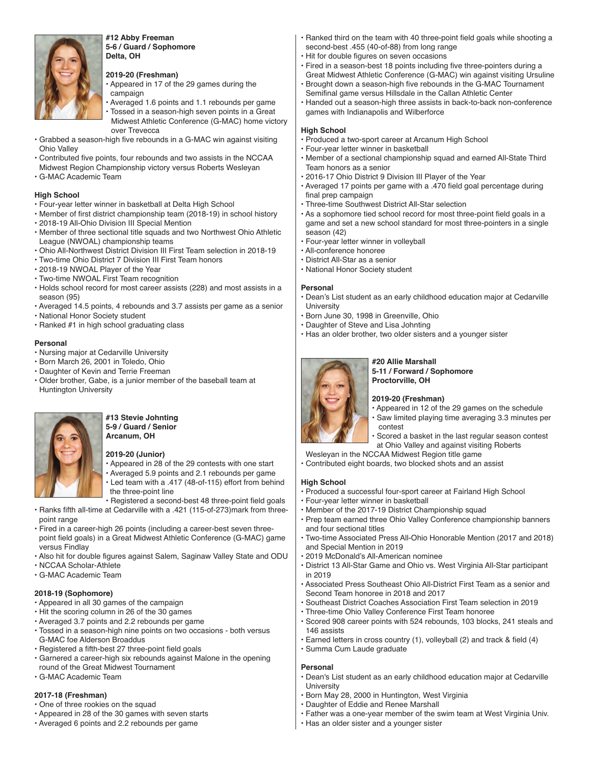

**#12 Abby Freeman 5-6 / Guard / Sophomore Delta, OH**

#### **2019-20 (Freshman)**

- Appeared in 17 of the 29 games during the campaign
- Averaged 1.6 points and 1.1 rebounds per game • Tossed in a season-high seven points in a Great Midwest Athletic Conference (G-MAC) home victory over Trevecca
- Grabbed a season-high five rebounds in a G-MAC win against visiting Ohio Valley
- Contributed five points, four rebounds and two assists in the NCCAA Midwest Region Championship victory versus Roberts Wesleyan
- G-MAC Academic Team

#### **High School**

- Four-year letter winner in basketball at Delta High School
- Member of first district championship team (2018-19) in school history
- 2018-19 All-Ohio Division III Special Mention
- Member of three sectional title squads and two Northwest Ohio Athletic League (NWOAL) championship teams
- Ohio All-Northwest District Division III First Team selection in 2018-19
- Two-time Ohio District 7 Division III First Team honors
- 2018-19 NWOAL Player of the Year
- Two-time NWOAL First Team recognition
- Holds school record for most career assists (228) and most assists in a season (95)
- Averaged 14.5 points, 4 rebounds and 3.7 assists per game as a senior
- National Honor Society student
- Ranked #1 in high school graduating class

#### **Personal**

- Nursing major at Cedarville University
- Born March 26, 2001 in Toledo, Ohio
- Daughter of Kevin and Terrie Freeman
- Older brother, Gabe, is a junior member of the baseball team at Huntington University



#### **#13 Stevie Johnting 5-9 / Guard / Senior Arcanum, OH**

#### **2019-20 (Junior)**

- Appeared in 28 of the 29 contests with one start
- Averaged 5.9 points and 2.1 rebounds per game • Led team with a .417 (48-of-115) effort from behind the three-point line
- Registered a second-best 48 three-point field goals
- Ranks fifth all-time at Cedarville with a .421 (115-of-273)mark from three point range
- Fired in a career-high 26 points (including a career-best seven three point field goals) in a Great Midwest Athletic Conference (G-MAC) game versus Findlay
- Also hit for double figures against Salem, Saginaw Valley State and ODU
- NCCAA Scholar-Athlete
- G-MAC Academic Team

#### **2018-19 (Sophomore)**

- Appeared in all 30 games of the campaign
- Hit the scoring column in 26 of the 30 games
- Averaged 3.7 points and 2.2 rebounds per game
- Tossed in a season-high nine points on two occasions both versus G-MAC foe Alderson Broaddus
- Registered a fifth-best 27 three-point field goals
- Garnered a career-high six rebounds against Malone in the opening round of the Great Midwest Tournament
- G-MAC Academic Team

#### **2017-18 (Freshman)**

- One of three rookies on the squad
- Appeared in 28 of the 30 games with seven starts
- Averaged 6 points and 2.2 rebounds per game
- Ranked third on the team with 40 three-point field goals while shooting a second-best .455 (40-of-88) from long range
- Hit for double figures on seven occasions
- Fired in a season-best 18 points including five three-pointers during a Great Midwest Athletic Conference (G-MAC) win against visiting Ursuline
- Brought down a season-high five rebounds in the G-MAC Tournament Semifinal game versus Hillsdale in the Callan Athletic Center
- Handed out a season-high three assists in back-to-back non-conference games with Indianapolis and Wilberforce

#### **High School**

- Produced a two-sport career at Arcanum High School
- Four-year letter winner in basketball
- Member of a sectional championship squad and earned All-State Third Team honors as a senior
- 2016-17 Ohio District 9 Division III Player of the Year
- Averaged 17 points per game with a .470 field goal percentage during final prep campaign
- Three-time Southwest District All-Star selection
- As a sophomore tied school record for most three-point field goals in a game and set a new school standard for most three-pointers in a single season (42)
- Four-year letter winner in volleyball
- All-conference honoree
- District All-Star as a senior
- National Honor Society student

#### **Personal**

- Dean's List student as an early childhood education major at Cedarville **University**
- Born June 30, 1998 in Greenville, Ohio
- Daughter of Steve and Lisa Johnting
- Has an older brother, two older sisters and a younger sister



**#20 Allie Marshall 5-11 / Forward / Sophomore Proctorville, OH**

#### **2019-20 (Freshman)**

- Appeared in 12 of the 29 games on the schedule
- Saw limited playing time averaging 3.3 minutes per contest
	- Scored a basket in the last regular season contest at Ohio Valley and against visiting Roberts

Wesleyan in the NCCAA Midwest Region title game

• Contributed eight boards, two blocked shots and an assist

#### **High School**

- Produced a successful four-sport career at Fairland High School
- Four-year letter winner in basketball
- Member of the 2017-19 District Championship squad
- Prep team earned three Ohio Valley Conference championship banners and four sectional titles
- Two-time Associated Press All-Ohio Honorable Mention (2017 and 2018) and Special Mention in 2019
- 2019 McDonald's All-American nominee
- District 13 All-Star Game and Ohio vs. West Virginia All-Star participant in 2019
- Associated Press Southeast Ohio All-District First Team as a senior and Second Team honoree in 2018 and 2017
- Southeast District Coaches Association First Team selection in 2019
- Three-time Ohio Valley Conference First Team honoree
- Scored 908 career points with 524 rebounds, 103 blocks, 241 steals and 146 assists
- Earned letters in cross country (1), volleyball (2) and track & field (4)
- Summa Cum Laude graduate

#### **Personal**

- Dean's List student as an early childhood education major at Cedarville **University**
- Born May 28, 2000 in Huntington, West Virginia
- Daughter of Eddie and Renee Marshall
- Father was a one-year member of the swim team at West Virginia Univ.
- Has an older sister and a younger sister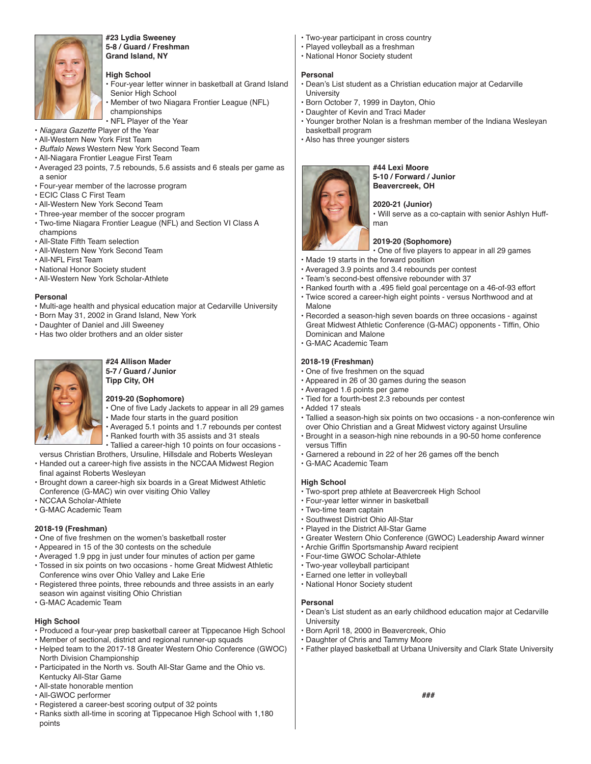

#### **#23 Lydia Sweeney 5-8 / Guard / Freshman Grand Island, NY**

#### **High School**

- Four-year letter winner in basketball at Grand Island Senior High School
- Member of two Niagara Frontier League (NFL) championships
- NFL Player of the Year
- Niagara Gazette Player of the Year
- All-Western New York First Team
- Buffalo News Western New York Second Team
- All-Niagara Frontier League First Team
- Averaged 23 points, 7.5 rebounds, 5.6 assists and 6 steals per game as a senior
- Four-year member of the lacrosse program
- ECIC Class C First Team
- All-Western New York Second Team
- Three-year member of the soccer program
- Two-time Niagara Frontier League (NFL) and Section VI Class A champions
- All-State Fifth Team selection
- All-Western New York Second Team
- All-NFL First Team
- National Honor Society student
- All-Western New York Scholar-Athlete

#### **Personal**

- Multi-age health and physical education major at Cedarville University
- Born May 31, 2002 in Grand Island, New York
- Daughter of Daniel and Jill Sweeney
- Has two older brothers and an older sister



#### **#24 Allison Mader 5-7 / Guard / Junior Tipp City, OH**

#### **2019-20 (Sophomore)**

- One of five Lady Jackets to appear in all 29 games
- Made four starts in the guard position
- Averaged 5.1 points and 1.7 rebounds per contest • Ranked fourth with 35 assists and 31 steals
- Tallied a career-high 10 points on four occasions -
- versus Christian Brothers, Ursuline, Hillsdale and Roberts Wesleyan
- Handed out a career-high five assists in the NCCAA Midwest Region final against Roberts Wesleyan
- Brought down a career-high six boards in a Great Midwest Athletic Conference (G-MAC) win over visiting Ohio Valley
- NCCAA Scholar-Athlete
- G-MAC Academic Team

#### **2018-19 (Freshman)**

- One of five freshmen on the women's basketball roster
- Appeared in 15 of the 30 contests on the schedule
- Averaged 1.9 ppg in just under four minutes of action per game
- Tossed in six points on two occasions home Great Midwest Athletic Conference wins over Ohio Valley and Lake Erie
- Registered three points, three rebounds and three assists in an early season win against visiting Ohio Christian
- G-MAC Academic Team

#### **High School**

- Produced a four-year prep basketball career at Tippecanoe High School
- Member of sectional, district and regional runner-up squads
- Helped team to the 2017-18 Greater Western Ohio Conference (GWOC) North Division Championship
- Participated in the North vs. South All-Star Game and the Ohio vs. Kentucky All-Star Game
- All-state honorable mention
- All-GWOC performer
- Registered a career-best scoring output of 32 points
- Ranks sixth all-time in scoring at Tippecanoe High School with 1,180 points
- Two-year participant in cross country
- Played volleyball as a freshman
- National Honor Society student

#### **Personal**

- Dean's List student as a Christian education major at Cedarville University
- Born October 7, 1999 in Dayton, Ohio
- Daughter of Kevin and Traci Mader
- Younger brother Nolan is a freshman member of the Indiana Wesleyan basketball program
- Also has three younger sisters



**#44 Lexi Moore 5-10 / Forward / Junior Beavercreek, OH**

#### **2020-21 (Junior)**

• Will serve as a co-captain with senior Ashlyn Huffman

#### **2019-20 (Sophomore)**

• One of five players to appear in all 29 games

- Made 19 starts in the forward position
- Averaged 3.9 points and 3.4 rebounds per contest
- Team's second-best offensive rebounder with 37
- Ranked fourth with a .495 field goal percentage on a 46-of-93 effort
- Twice scored a career-high eight points versus Northwood and at Malone
- Recorded a season-high seven boards on three occasions against Great Midwest Athletic Conference (G-MAC) opponents - Tiffin, Ohio Dominican and Malone
- G-MAC Academic Team

#### **2018-19 (Freshman)**

- One of five freshmen on the squad
- Appeared in 26 of 30 games during the season
- Averaged 1.6 points per game
- Tied for a fourth-best 2.3 rebounds per contest
- Added 17 steals
- Tallied a season-high six points on two occasions a non-conference win over Ohio Christian and a Great Midwest victory against Ursuline
- Brought in a season-high nine rebounds in a 90-50 home conference versus Tiffin
- Garnered a rebound in 22 of her 26 games off the bench
- G-MAC Academic Team

#### **High School**

- Two-sport prep athlete at Beavercreek High School
- Four-year letter winner in basketball
- Two-time team captain
- Southwest District Ohio All-Star
- Played in the District All-Star Game
- Greater Western Ohio Conference (GWOC) Leadership Award winner
- Archie Griffin Sportsmanship Award recipient
- Four-time GWOC Scholar-Athlete
- Two-year volleyball participant
- Earned one letter in volleyball
- National Honor Society student

• Daughter of Chris and Tammy Moore

#### **Personal**

• Dean's List student as an early childhood education major at Cedarville **University** • Born April 18, 2000 in Beavercreek, Ohio

• Father played basketball at Urbana University and Clark State University

**###**